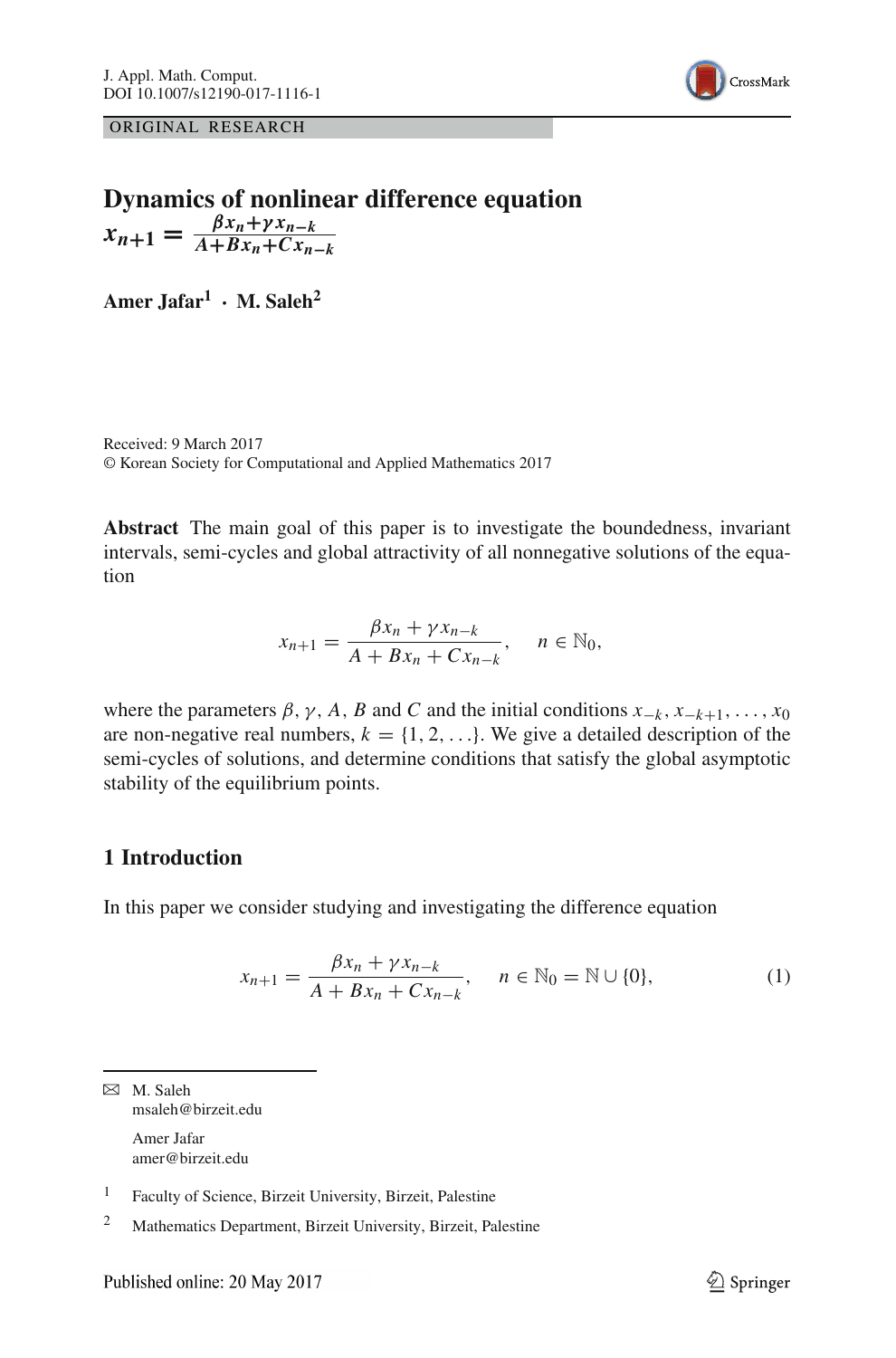

ORIGINAL RESEARCH

# **Dynamics of nonlinear difference equation**  $x_{n+1} = \frac{\beta x_n + \gamma x_{n-k}}{A + Bx_n + Cx_{n-k}}$

**Amer Jafar1 · M. Saleh2**

Received: 9 March 2017 © Korean Society for Computational and Applied Mathematics 2017

**Abstract** The main goal of this paper is to investigate the boundedness, invariant intervals, semi-cycles and global attractivity of all nonnegative solutions of the equation

$$
x_{n+1} = \frac{\beta x_n + \gamma x_{n-k}}{A + Bx_n + Cx_{n-k}}, \quad n \in \mathbb{N}_0,
$$

where the parameters  $\beta$ ,  $\gamma$ , *A*, *B* and *C* and the initial conditions  $x_{-k}$ ,  $x_{-k+1}$ , ...,  $x_0$ are non-negative real numbers,  $k = \{1, 2, \ldots\}$ . We give a detailed description of the semi-cycles of solutions, and determine conditions that satisfy the global asymptotic stability of the equilibrium points.

## **1 Introduction**

In this paper we consider studying and investigating the difference equation

<span id="page-0-0"></span>
$$
x_{n+1} = \frac{\beta x_n + \gamma x_{n-k}}{A + Bx_n + Cx_{n-k}}, \quad n \in \mathbb{N}_0 = \mathbb{N} \cup \{0\},
$$
 (1)

 $\boxtimes$  M. Saleh msaleh@birzeit.edu Amer Jafar amer@birzeit.edu

<sup>&</sup>lt;sup>1</sup> Faculty of Science, Birzeit University, Birzeit, Palestine

<sup>2</sup> Mathematics Department, Birzeit University, Birzeit, Palestine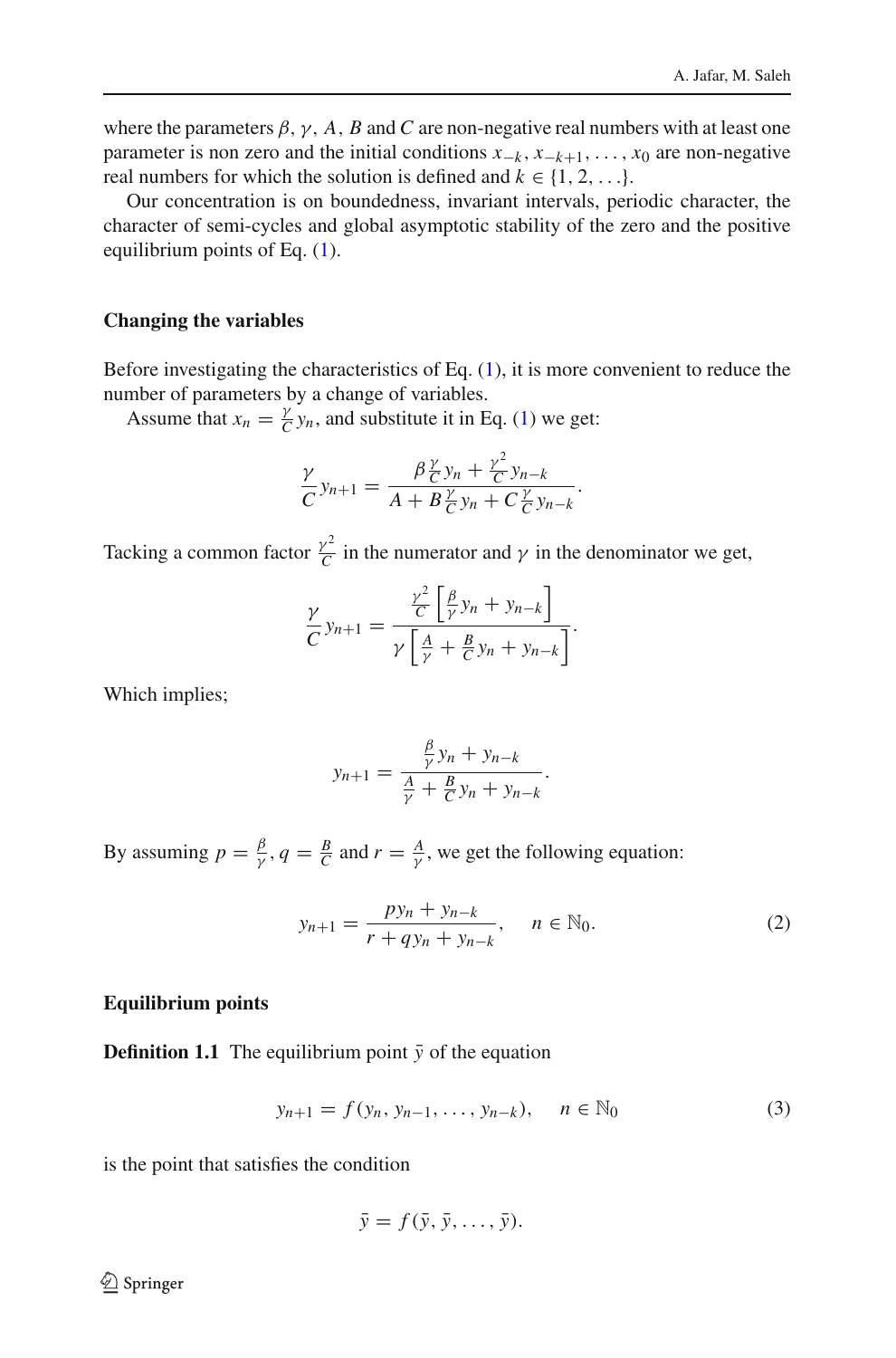where the parameters  $\beta$ ,  $\gamma$ ,  $A$ ,  $B$  and  $C$  are non-negative real numbers with at least one parameter is non zero and the initial conditions  $x_{-k}$ ,  $x_{-k+1}$ , ...,  $x_0$  are non-negative real numbers for which the solution is defined and  $k \in \{1, 2, \ldots\}$ .

Our concentration is on boundedness, invariant intervals, periodic character, the character of semi-cycles and global asymptotic stability of the zero and the positive equilibrium points of Eq. [\(1\)](#page-0-0).

#### **Changing the variables**

Before investigating the characteristics of Eq.  $(1)$ , it is more convenient to reduce the number of parameters by a change of variables.

Assume that  $x_n = \frac{y}{C} y_n$ , and substitute it in Eq. [\(1\)](#page-0-0) we get:

$$
\frac{\gamma}{C}y_{n+1} = \frac{\beta \frac{\gamma}{C}y_n + \frac{\gamma^2}{C}y_{n-k}}{A + B \frac{\gamma}{C}y_n + C \frac{\gamma}{C}y_{n-k}}.
$$

Tacking a common factor  $\frac{\gamma^2}{C}$  in the numerator and  $\gamma$  in the denominator we get,

$$
\frac{\gamma}{C}y_{n+1} = \frac{\frac{\gamma^2}{C} \left[\frac{\beta}{\gamma} y_n + y_{n-k}\right]}{\gamma \left[\frac{A}{\gamma} + \frac{B}{C} y_n + y_{n-k}\right]}.
$$

Which implies;

$$
y_{n+1} = \frac{\frac{\beta}{\gamma}y_n + y_{n-k}}{\frac{A}{\gamma} + \frac{B}{C}y_n + y_{n-k}}.
$$

By assuming  $p = \frac{\beta}{\gamma}$ ,  $q = \frac{B}{C}$  and  $r = \frac{A}{\gamma}$ , we get the following equation:

<span id="page-1-0"></span>
$$
y_{n+1} = \frac{py_n + y_{n-k}}{r + qy_n + y_{n-k}}, \quad n \in \mathbb{N}_0.
$$
 (2)

#### **Equilibrium points**

**Definition 1.1** The equilibrium point  $\bar{y}$  of the equation

<span id="page-1-1"></span>
$$
y_{n+1} = f(y_n, y_{n-1}, \dots, y_{n-k}), \quad n \in \mathbb{N}_0
$$
 (3)

is the point that satisfies the condition

$$
\bar{y} = f(\bar{y}, \bar{y}, \ldots, \bar{y}).
$$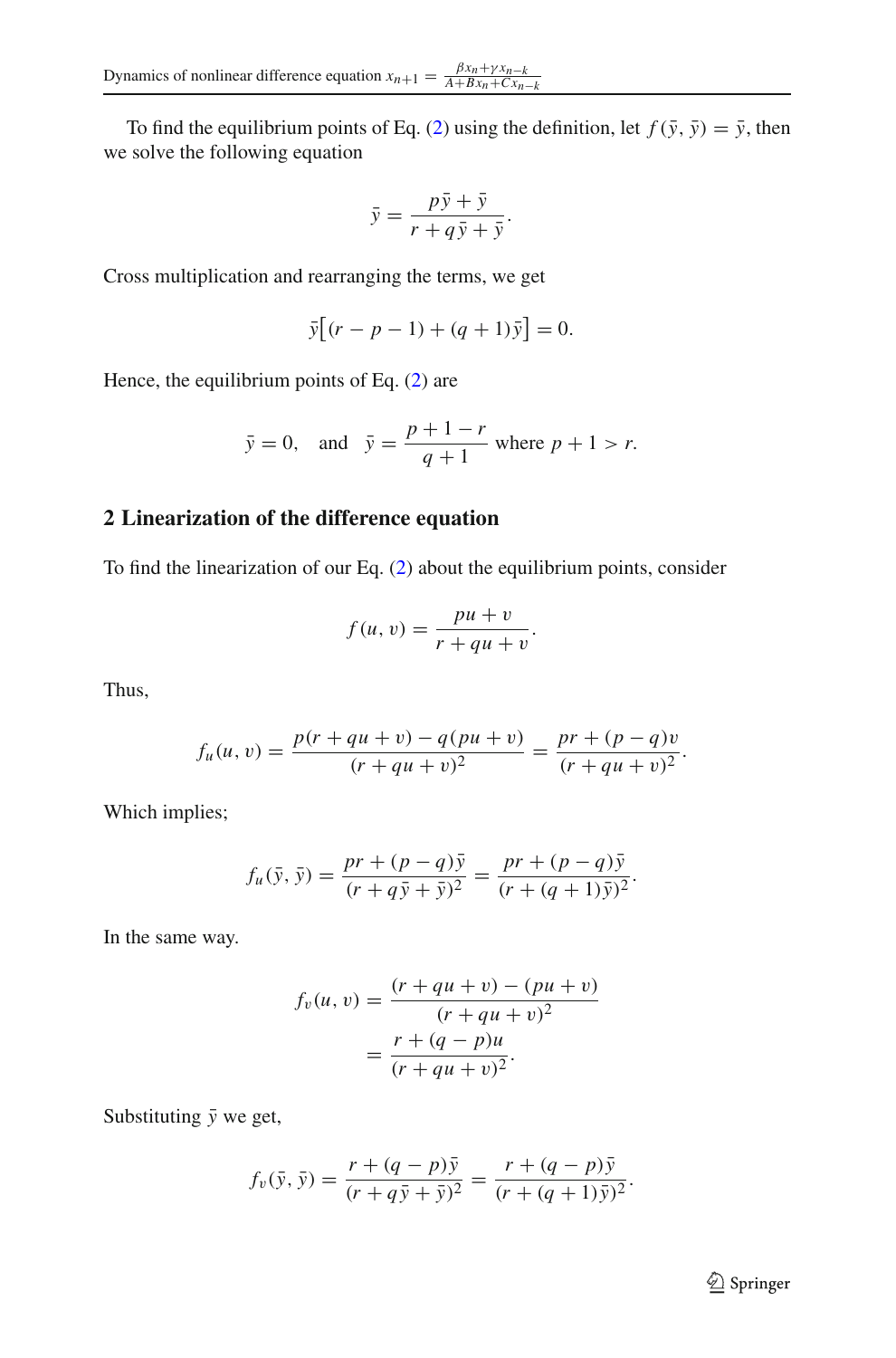To find the equilibrium points of Eq. [\(2\)](#page-1-0) using the definition, let  $f(\bar{y}, \bar{y}) = \bar{y}$ , then we solve the following equation

$$
\bar{y} = \frac{p\bar{y} + \bar{y}}{r + q\bar{y} + \bar{y}}.
$$

Cross multiplication and rearranging the terms, we get

$$
\bar{y}[(r - p - 1) + (q + 1)\bar{y}] = 0.
$$

Hence, the equilibrium points of Eq. [\(2\)](#page-1-0) are

$$
\bar{y} = 0
$$
, and  $\bar{y} = \frac{p+1-r}{q+1}$  where  $p + 1 > r$ .

# **2 Linearization of the difference equation**

To find the linearization of our Eq. [\(2\)](#page-1-0) about the equilibrium points, consider

$$
f(u,v) = \frac{pu + v}{r + qu + v}.
$$

Thus,

$$
f_u(u, v) = \frac{p(r + qu + v) - q(pu + v)}{(r + qu + v)^2} = \frac{pr + (p - q)v}{(r + qu + v)^2}.
$$

Which implies;

$$
f_u(\bar{y}, \bar{y}) = \frac{pr + (p - q)\bar{y}}{(r + q\bar{y} + \bar{y})^2} = \frac{pr + (p - q)\bar{y}}{(r + (q + 1)\bar{y})^2}.
$$

In the same way.

$$
f_v(u, v) = \frac{(r + qu + v) - (pu + v)}{(r + qu + v)^2}
$$
  
= 
$$
\frac{r + (q - p)u}{(r + qu + v)^2}.
$$

Substituting  $\bar{y}$  we get,

$$
f_v(\bar{y}, \bar{y}) = \frac{r + (q - p)\bar{y}}{(r + q\bar{y} + \bar{y})^2} = \frac{r + (q - p)\bar{y}}{(r + (q + 1)\bar{y})^2}.
$$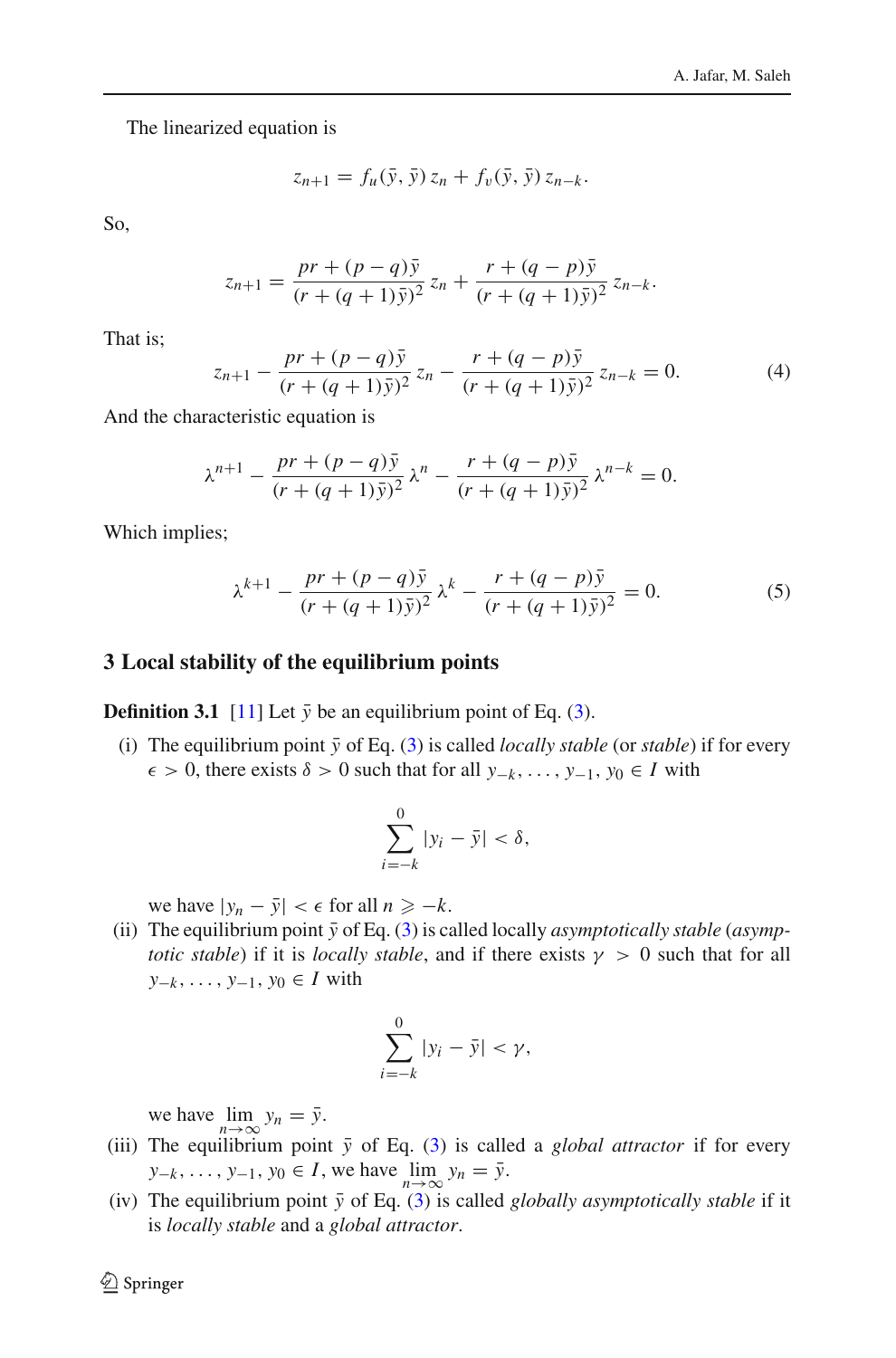The linearized equation is

$$
z_{n+1} = f_u(\bar{y}, \bar{y}) z_n + f_v(\bar{y}, \bar{y}) z_{n-k}.
$$

So,

$$
z_{n+1} = \frac{pr + (p-q)\bar{y}}{(r + (q+1)\bar{y})^2} z_n + \frac{r + (q-p)\bar{y}}{(r + (q+1)\bar{y})^2} z_{n-k}.
$$

That is;

<span id="page-3-0"></span>
$$
z_{n+1} - \frac{pr + (p-q)\bar{y}}{(r + (q+1)\bar{y})^2} z_n - \frac{r + (q-p)\bar{y}}{(r + (q+1)\bar{y})^2} z_{n-k} = 0.
$$
 (4)

And the characteristic equation is

$$
\lambda^{n+1} - \frac{pr + (p-q)\bar{y}}{(r + (q+1)\bar{y})^2} \lambda^n - \frac{r + (q-p)\bar{y}}{(r + (q+1)\bar{y})^2} \lambda^{n-k} = 0.
$$

Which implies;

<span id="page-3-1"></span>
$$
\lambda^{k+1} - \frac{pr + (p-q)\bar{y}}{(r + (q+1)\bar{y})^2} \lambda^k - \frac{r + (q-p)\bar{y}}{(r + (q+1)\bar{y})^2} = 0.
$$
 (5)

#### **3 Local stability of the equilibrium points**

<span id="page-3-2"></span>**Definition 3.1** [\[11](#page-29-0)] Let  $\bar{y}$  be an equilibrium point of Eq. [\(3\)](#page-1-1).

(i) The equilibrium point  $\bar{y}$  of Eq. [\(3\)](#page-1-1) is called *locally stable* (or *stable*) if for every  $\epsilon$  > 0, there exists  $\delta$  > 0 such that for all *y*<sub>−*k*</sub>, ..., *y*<sub>−1</sub>, *y*<sub>0</sub> ∈ *I* with

$$
\sum_{i=-k}^{0} |y_i - \bar{y}| < \delta,
$$

we have  $|y_n - \bar{y}| < \epsilon$  for all  $n \ge -k$ .

(ii) The equilibrium point  $\bar{y}$  of Eq. [\(3\)](#page-1-1) is called locally *asymptotically stable* (*asymptotic stable*) if it is *locally stable*, and if there exists  $\gamma > 0$  such that for all *y*−*<sup>k</sup>* ,..., *y*−1, *y*<sup>0</sup> ∈ *I* with

$$
\sum_{i=-k}^{0} |y_i - \bar{y}| < \gamma,
$$

we have  $\lim_{n \to \infty} y_n = \bar{y}$ .

- (iii) The equilibrium point  $\bar{y}$  of Eq. [\(3\)](#page-1-1) is called a *global attractor* if for every *y*<sub>−*k*</sub> , ..., *y*<sub>−1</sub>, *y*<sub>0</sub> ∈ *I*, we have  $\lim_{n \to \infty} y_n = \overline{y}$ .
- (iv) The equilibrium point  $\bar{y}$  of Eq. [\(3\)](#page-1-1) is called *globally asymptotically stable* if it is *locally stable* and a *global attractor*.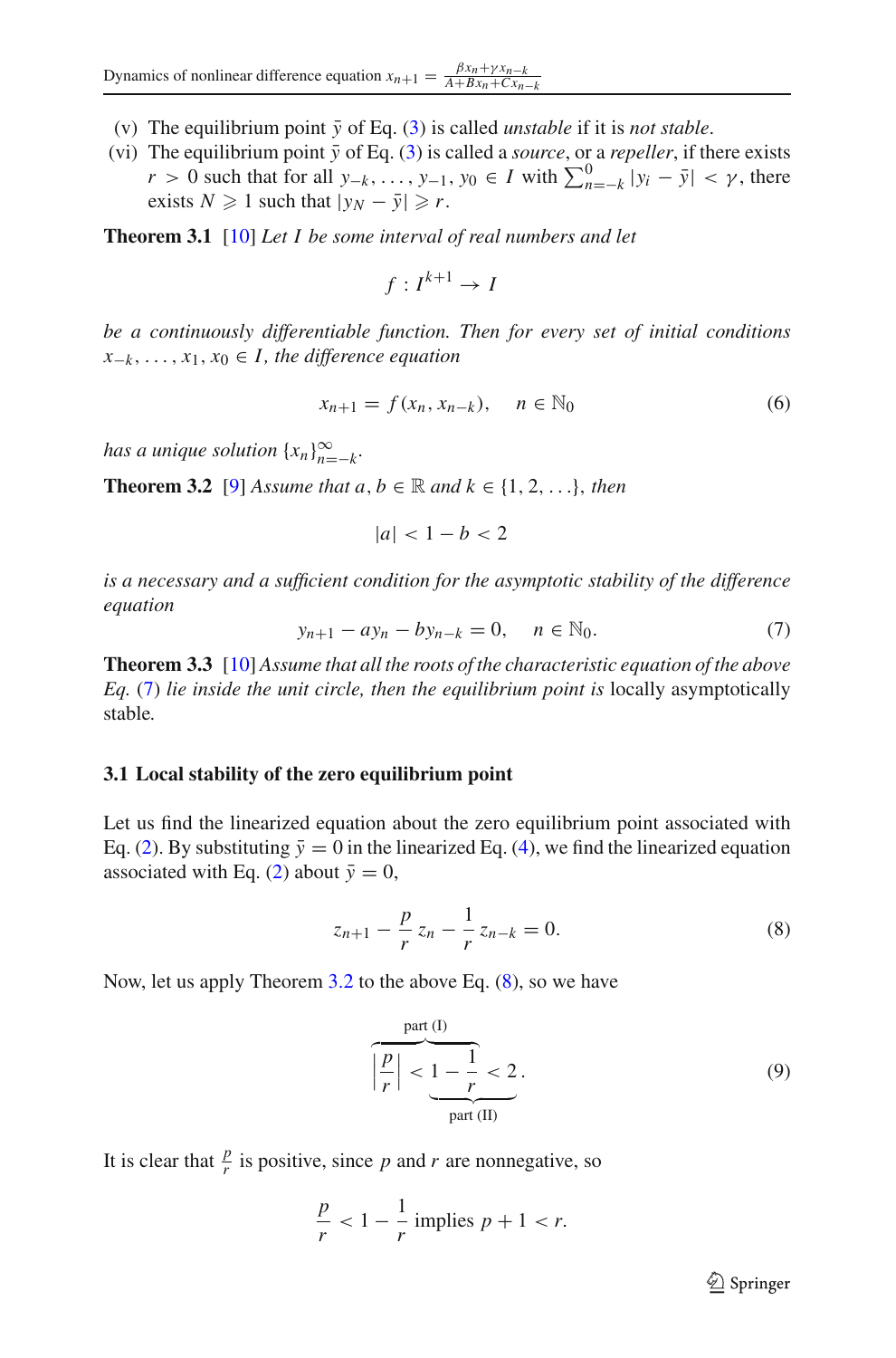- (v) The equilibrium point  $\bar{v}$  of Eq. [\(3\)](#page-1-1) is called *unstable* if it is *not stable*.
- (vi) The equilibrium point  $\bar{y}$  of Eq. [\(3\)](#page-1-1) is called a *source*, or a *repeller*, if there exists *r* > 0 such that for all  $y_{-k}$ , ...,  $y_{-1}$ ,  $y_0$  ∈ *I* with  $\sum_{n=-k}^{0} |y_i - \bar{y}| < \gamma$ , there exists  $N \geq 1$  such that  $|y_N - \bar{y}| \geq r$ .

**Theorem 3.1** [\[10](#page-29-1)] *Let I be some interval of real numbers and let*

$$
f: I^{k+1} \to I
$$

*be a continuously differentiable function. Then for every set of initial conditions*  $x_{-k}$ , ...,  $x_1, x_0 \in I$ , the difference equation

$$
x_{n+1} = f(x_n, x_{n-k}), \quad n \in \mathbb{N}_0
$$
 (6)

<span id="page-4-1"></span>*has a unique solution*  $\{x_n\}_{n=-k}^{\infty}$ .

**Theorem 3.2** [\[9\]](#page-29-2) *Assume that a, b*  $\in \mathbb{R}$  *and*  $k \in \{1, 2, \ldots\}$ , *then* 

$$
|a| < 1 - b < 2
$$

*is a necessary and a sufficient condition for the asymptotic stability of the difference equation*

<span id="page-4-0"></span>
$$
y_{n+1} - ay_n - by_{n-k} = 0, \quad n \in \mathbb{N}_0.
$$
 (7)

**Theorem 3.3** [\[10](#page-29-1)] *Assume that all the roots of the characteristic equation of the above Eq.* [\(7\)](#page-4-0) *lie inside the unit circle, then the equilibrium point is* locally asymptotically stable*.*

#### <span id="page-4-4"></span>**3.1 Local stability of the zero equilibrium point**

Let us find the linearized equation about the zero equilibrium point associated with Eq. [\(2\)](#page-1-0). By substituting  $\bar{y}=0$  in the linearized Eq. [\(4\)](#page-3-0), we find the linearized equation associated with Eq. [\(2\)](#page-1-0) about  $\bar{y} = 0$ ,

<span id="page-4-2"></span>
$$
z_{n+1} - \frac{p}{r} z_n - \frac{1}{r} z_{n-k} = 0.
$$
 (8)

Now, let us apply Theorem [3.2](#page-4-1) to the above Eq. [\(8\)](#page-4-2), so we have

$$
\left|\frac{p}{r}\right| < \underbrace{1 - \frac{1}{r} < 2}_{\text{part (II)}}.\tag{9}
$$

It is clear that  $\frac{p}{r}$  is positive, since *p* and *r* are nonnegative, so

$$
\frac{p}{r} < 1 - \frac{1}{r} \text{ implies } p + 1 < r.
$$

<span id="page-4-3"></span><sup>2</sup> Springer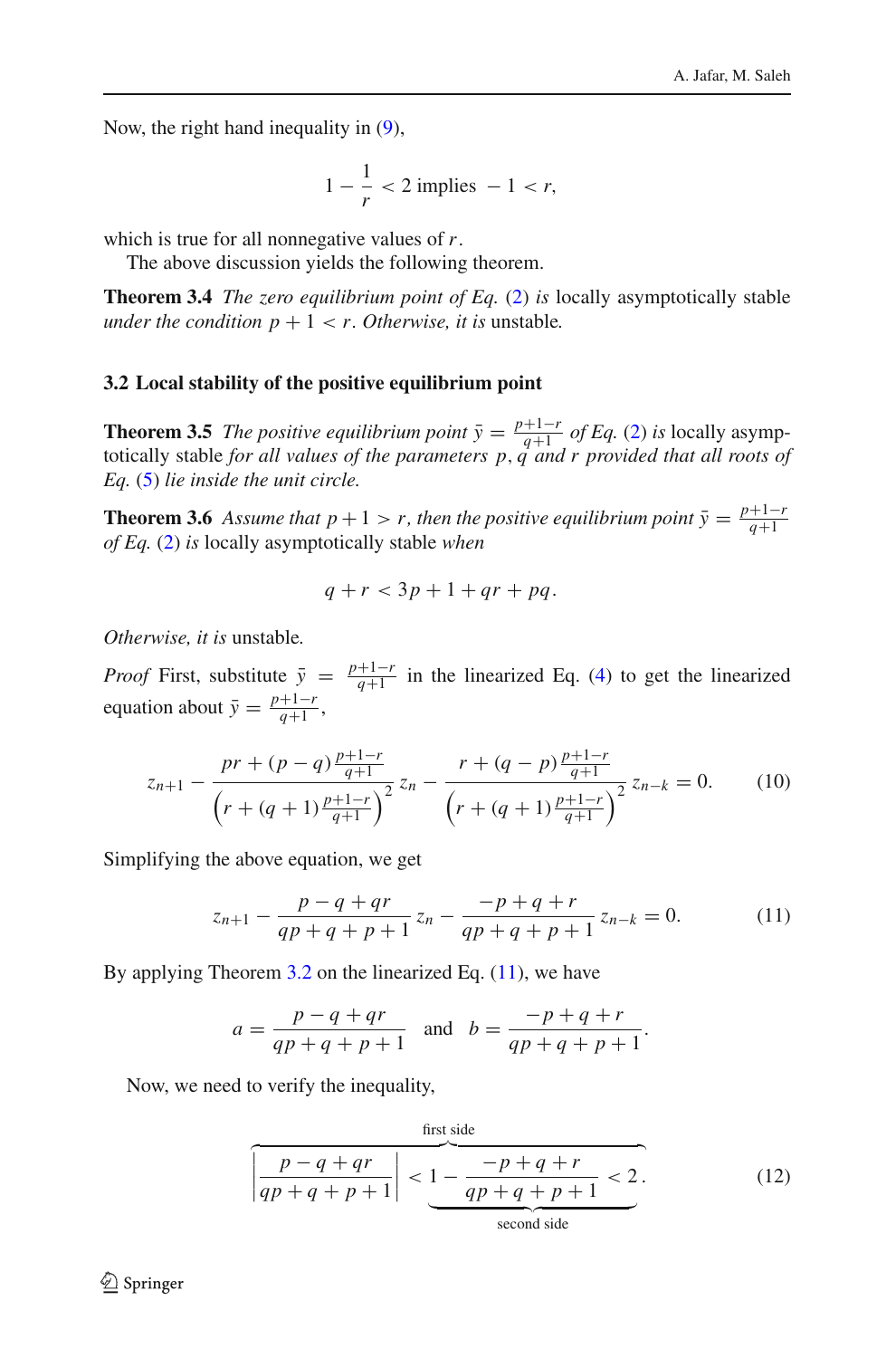Now, the right hand inequality in [\(9\)](#page-4-3),

$$
1 - \frac{1}{r} < 2 \text{ implies } -1 < r,
$$

which is true for all nonnegative values of *r*.

The above discussion yields the following theorem.

**Theorem 3.4** *The zero equilibrium point of Eq.* [\(2\)](#page-1-0) *is* locally asymptotically stable *under the condition*  $p + 1 < r$ *. Otherwise, it is unstable.* 

#### **3.2 Local stability of the positive equilibrium point**

**Theorem 3.5** The positive equilibrium point  $\bar{y} = \frac{p+1-r}{q+1}$  of Eq. [\(2\)](#page-1-0) is locally asymptotically stable for all values of the parameters p, q and r provided that all roots of *Eq.* [\(5\)](#page-3-1) *lie inside the unit circle.*

**Theorem 3.6** *Assume that p* + 1 > *r, then the positive equilibrium point*  $\bar{y} = \frac{p+1-r}{q+1}$ *of Eq.* [\(2\)](#page-1-0) *is* locally asymptotically stable *when*

$$
q + r < 3p + 1 + qr + pq.
$$

*Otherwise, it is* unstable*.*

*Proof* First, substitute  $\bar{y} = \frac{p+1-r}{q+1}$  in the linearized Eq. [\(4\)](#page-3-0) to get the linearized equation about  $\bar{y} = \frac{p+1-r}{q+1}$ ,

$$
z_{n+1} - \frac{pr + (p-q)\frac{p+1-r}{q+1}}{\left(r + (q+1)\frac{p+1-r}{q+1}\right)^2} z_n - \frac{r + (q-p)\frac{p+1-r}{q+1}}{\left(r + (q+1)\frac{p+1-r}{q+1}\right)^2} z_{n-k} = 0.
$$
 (10)

Simplifying the above equation, we get

<span id="page-5-0"></span>
$$
z_{n+1} - \frac{p - q + qr}{qp + q + p + 1} z_n - \frac{-p + q + r}{qp + q + p + 1} z_{n-k} = 0.
$$
 (11)

By applying Theorem  $3.2$  on the linearized Eq.  $(11)$ , we have

$$
a = \frac{p - q + qr}{qp + q + p + 1}
$$
 and  $b = \frac{-p + q + r}{qp + q + p + 1}$ .

Now, we need to verify the inequality,

<span id="page-5-1"></span>first side  
\n
$$
\frac{p - q + qr}{qp + q + p + 1} < 1 - \frac{-p + q + r}{qp + q + p + 1} < 2.
$$
\n(12)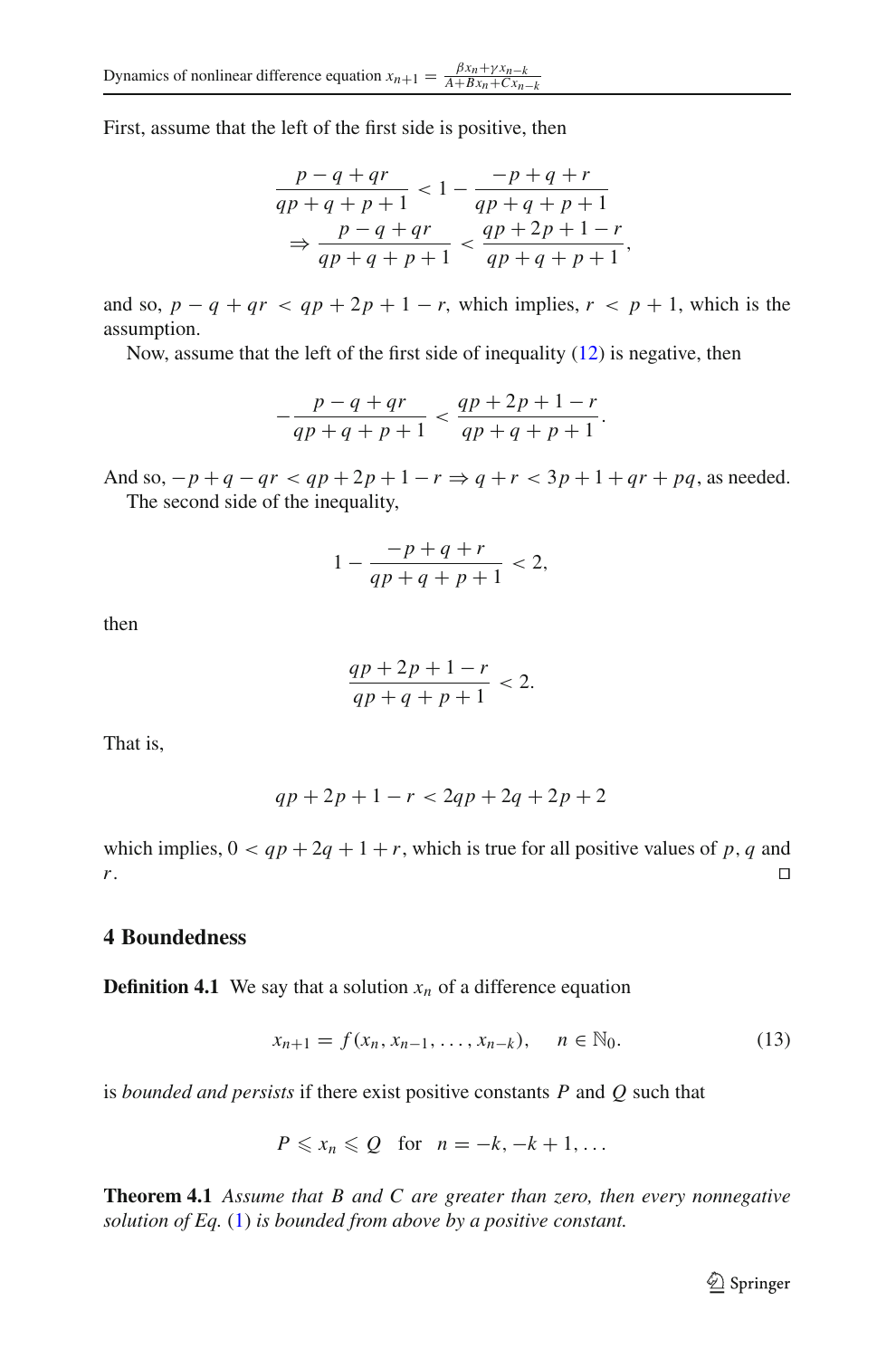First, assume that the left of the first side is positive, then

$$
\frac{p-q+qr}{qp+q+p+1} < 1 - \frac{-p+q+r}{qp+q+p+1}
$$
\n
$$
\Rightarrow \frac{p-q+qr}{qp+q+p+1} < \frac{qp+2p+1-r}{qp+q+p+1},
$$

and so,  $p - q + qr < qp + 2p + 1 - r$ , which implies,  $r < p + 1$ , which is the assumption.

Now, assume that the left of the first side of inequality [\(12\)](#page-5-1) is negative, then

$$
-\frac{p-q+qr}{qp+q+p+1} < \frac{qp+2p+1-r}{qp+q+p+1}.
$$

And so,  $-p+q-qr < qp+2p+1-r \Rightarrow q+r < 3p+1+qr+pq$ , as needed. The second side of the inequality,

$$
1 - \frac{-p + q + r}{qp + q + p + 1} < 2,
$$

then

$$
\frac{qp+2p+1-r}{qp+q+p+1} < 2.
$$

That is,

$$
qp + 2p + 1 - r < 2qp + 2q + 2p + 2
$$

which implies,  $0 < qp + 2q + 1 + r$ , which is true for all positive values of *p*, *q* and *r*. *r*. □

## **4 Boundedness**

**Definition 4.1** We say that a solution  $x_n$  of a difference equation

<span id="page-6-0"></span>
$$
x_{n+1} = f(x_n, x_{n-1}, \dots, x_{n-k}), \quad n \in \mathbb{N}_0.
$$
 (13)

is *bounded and persists* if there exist positive constants *P* and *Q* such that

$$
P\leqslant x_n\leqslant Q\quad\text{for}\quad n=-k,-k+1,\ldots
$$

**Theorem 4.1** *Assume that B and C are greater than zero, then every nonnegative solution of Eq.* [\(1\)](#page-0-0) *is bounded from above by a positive constant.*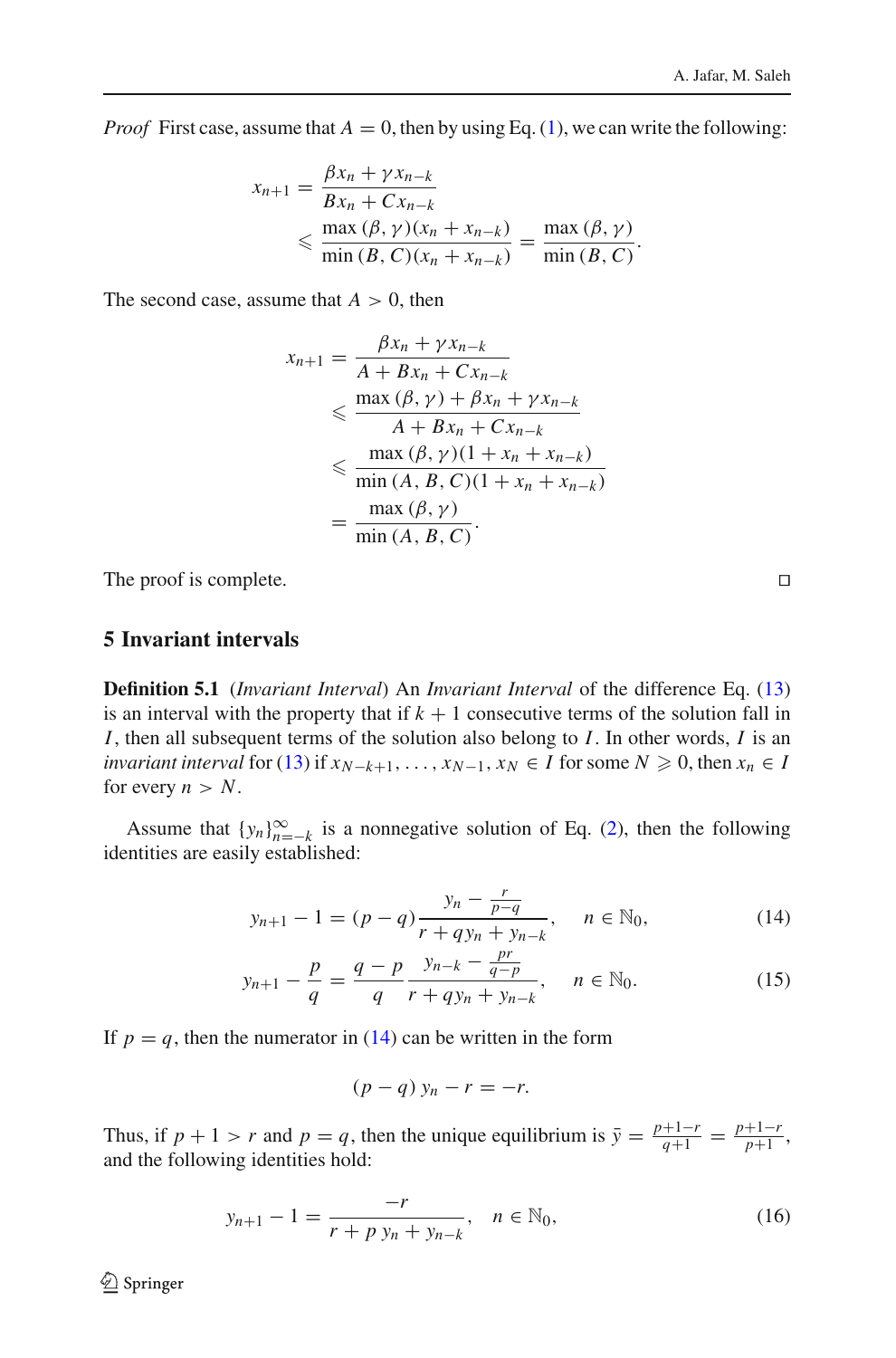*Proof* First case, assume that  $A = 0$ , then by using Eq. [\(1\)](#page-0-0), we can write the following:

$$
x_{n+1} = \frac{\beta x_n + \gamma x_{n-k}}{Bx_n + Cx_{n-k}}
$$
  
\$\leqslant \frac{\max(\beta, \gamma)(x\_n + x\_{n-k})}{\min(\beta, C)(x\_n + x\_{n-k})} = \frac{\max(\beta, \gamma)}{\min(\beta, C)}\$.

The second case, assume that  $A > 0$ , then

$$
x_{n+1} = \frac{\beta x_n + \gamma x_{n-k}}{A + Bx_n + Cx_{n-k}}
$$
  
\n
$$
\leq \frac{\max(\beta, \gamma) + \beta x_n + \gamma x_{n-k}}{A + Bx_n + Cx_{n-k}}
$$
  
\n
$$
\leq \frac{\max(\beta, \gamma)(1 + x_n + x_{n-k})}{\min(A, B, C)(1 + x_n + x_{n-k})}
$$
  
\n
$$
= \frac{\max(\beta, \gamma)}{\min(A, B, C)}.
$$

The proof is complete.

## **5 Invariant intervals**

**Definition 5.1** (*Invariant Interval*) An *Invariant Interval* of the difference Eq. [\(13\)](#page-6-0) is an interval with the property that if  $k + 1$  consecutive terms of the solution fall in *I*, then all subsequent terms of the solution also belong to *I*. In other words, *I* is an *invariant interval* for [\(13\)](#page-6-0) if  $x_{N-k+1}, \ldots, x_{N-1}, x_N \in I$  for some  $N \geq 0$ , then  $x_n \in I$ for every  $n > N$ .

Assume that  $\{y_n\}_{n=-k}^{\infty}$  is a nonnegative solution of Eq. [\(2\)](#page-1-0), then the following identities are easily established:

<span id="page-7-0"></span>
$$
y_{n+1} - 1 = (p - q) \frac{y_n - \frac{r}{p - q}}{r + q y_n + y_{n-k}}, \quad n \in \mathbb{N}_0,
$$
\n(14)

$$
y_{n+1} - \frac{p}{q} = \frac{q-p}{q} \frac{y_{n-k} - \frac{pr}{q-p}}{r + qy_n + y_{n-k}}, \quad n \in \mathbb{N}_0.
$$
 (15)

If  $p = q$ , then the numerator in [\(14\)](#page-7-0) can be written in the form

$$
(p-q) y_n - r = -r.
$$

Thus, if  $p + 1 > r$  and  $p = q$ , then the unique equilibrium is  $\bar{y} = \frac{p+1-r}{q+1} = \frac{p+1-r}{p+1}$ , and the following identities hold:

$$
y_{n+1} - 1 = \frac{-r}{r + p y_n + y_{n-k}}, \quad n \in \mathbb{N}_0,
$$
\n(16)

<sup>2</sup> Springer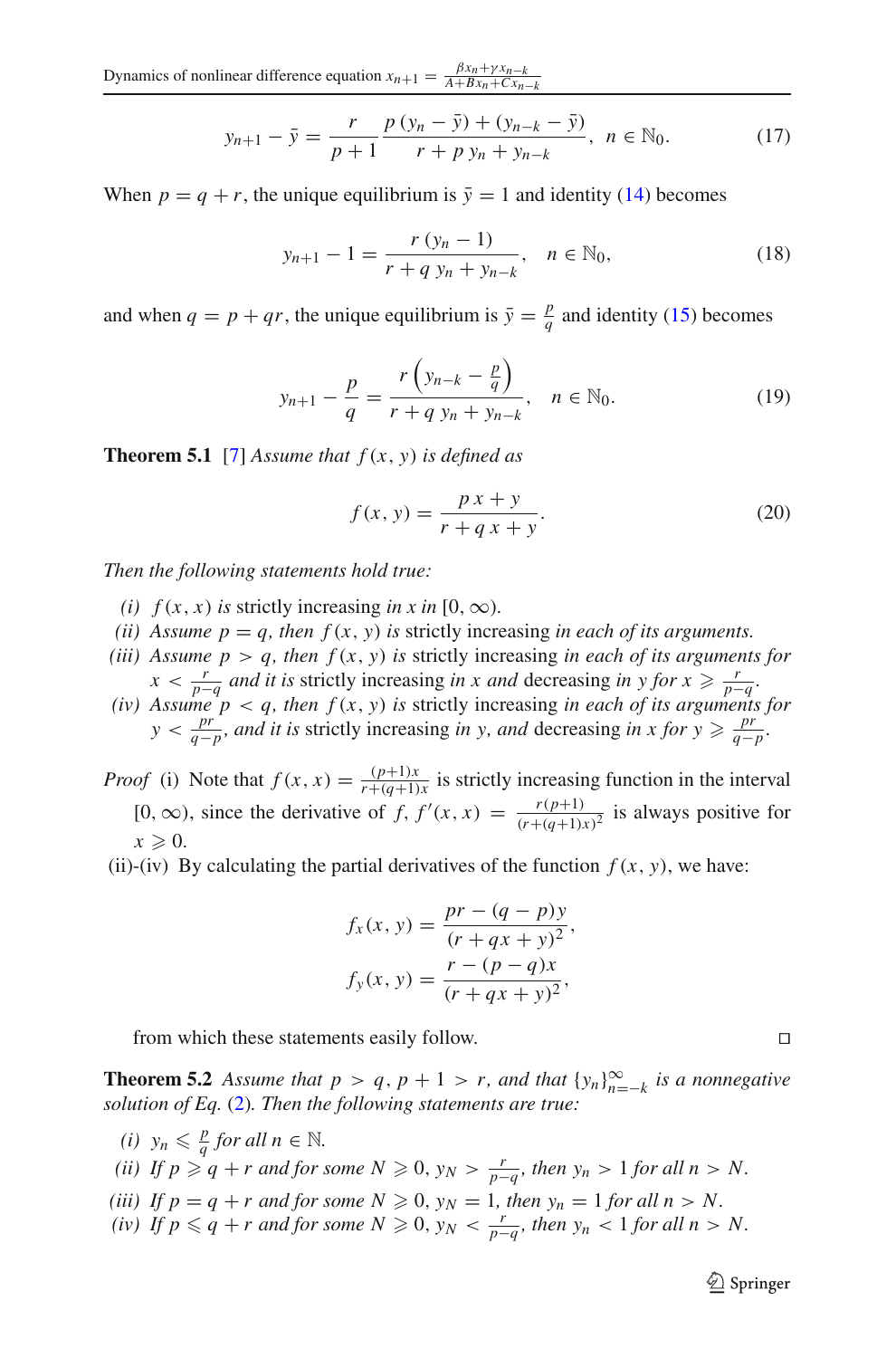Dynamics of nonlinear difference equation  $x_{n+1} = \frac{\beta x_n + \gamma x_{n-k}}{A + Bx_n + Cx_{n-k}}$ 

$$
y_{n+1} - \bar{y} = \frac{r}{p+1} \frac{p(y_n - \bar{y}) + (y_{n-k} - \bar{y})}{r + p y_n + y_{n-k}}, \quad n \in \mathbb{N}_0.
$$
 (17)

When  $p = q + r$ , the unique equilibrium is  $\bar{y} = 1$  and identity [\(14\)](#page-7-0) becomes

<span id="page-8-1"></span>
$$
y_{n+1} - 1 = \frac{r (y_n - 1)}{r + q y_n + y_{n-k}}, \quad n \in \mathbb{N}_0,
$$
\n(18)

and when  $q = p + qr$ , the unique equilibrium is  $\bar{y} = \frac{p}{q}$  and identity [\(15\)](#page-7-0) becomes

$$
y_{n+1} - \frac{p}{q} = \frac{r\left(y_{n-k} - \frac{p}{q}\right)}{r + q\ y_n + y_{n-k}}, \quad n \in \mathbb{N}_0.
$$
 (19)

<span id="page-8-2"></span>**Theorem 5.1** [\[7\]](#page-29-3) Assume that  $f(x, y)$  is defined as

$$
f(x, y) = \frac{px + y}{r + qx + y}.\tag{20}
$$

*Then the following statements hold true:*

- *(i)*  $f(x, x)$  *is* strictly increasing *in x in* [0, ∞).
- *(ii)* Assume  $p = q$ , then  $f(x, y)$  *is* strictly increasing *in each of its arguments.*
- *(iii)* Assume  $p > q$ , then  $f(x, y)$  is strictly increasing *in each of its arguments for*  $x < \frac{r}{p-q}$  and *it is* strictly increasing *in x and* decreasing *in y for*  $x \ge \frac{r}{p-q}$ .
- *x*  $\leq$  *p*−*q*</sub> *indi ii s* strictly increasing *in x and* decreasing *in y joi x*  $\leq$  *p*−*q*<sup>*.*</sup> (*iv*) *Assume p* < *q, then f* (*x, y) is* strictly increasing *in each of its arguments for y* <  $\frac{pr}{q-p}$ , and *it is* strictly increasing *in y, and* decreasing *in x for y*  $\geq \frac{pr}{q-p}$ .

*Proof* (i) Note that  $f(x, x) = \frac{(p+1)x}{r+(q+1)x}$  is strictly increasing function in the interval [0, ∞), since the derivative of *f*,  $f'(x, x) = \frac{r(p+1)}{(r+(q+1)x)^2}$  is always positive for  $x \geqslant 0$ .

(ii)-(iv) By calculating the partial derivatives of the function  $f(x, y)$ , we have:

$$
f_x(x, y) = \frac{pr - (q - p)y}{(r + qx + y)^2},
$$

$$
f_y(x, y) = \frac{r - (p - q)x}{(r + qx + y)^2},
$$

from which these statements easily follow.

<span id="page-8-0"></span>**Theorem 5.2** *Assume that*  $p > q$ ,  $p + 1 > r$ , and that  $\{y_n\}_{n=-k}^{\infty}$  *is a nonnegative solution of Eq.* [\(2\)](#page-1-0)*. Then the following statements are true:*

*(i)*  $y_n \leq \frac{p}{q}$  *for all*  $n \in \mathbb{N}$ .

(ii) If 
$$
p \geq q + r
$$
 and for some  $N \geq 0$ ,  $y_N > \frac{r}{p-q}$ , then  $y_n > 1$  for all  $n > N$ .

- *(iii)* If  $p = q + r$  and for some  $N \ge 0$ ,  $y_N = 1$ , then  $y_n = 1$  for all  $n > N$ .
- *(iv) If*  $p \le q + r$  *and for some*  $N \ge 0$ ,  $y_N < \frac{r}{p-q}$ *, then*  $y_n < 1$  *for all*  $n > N$ .

<sup>2</sup> Springer

$$
\Box
$$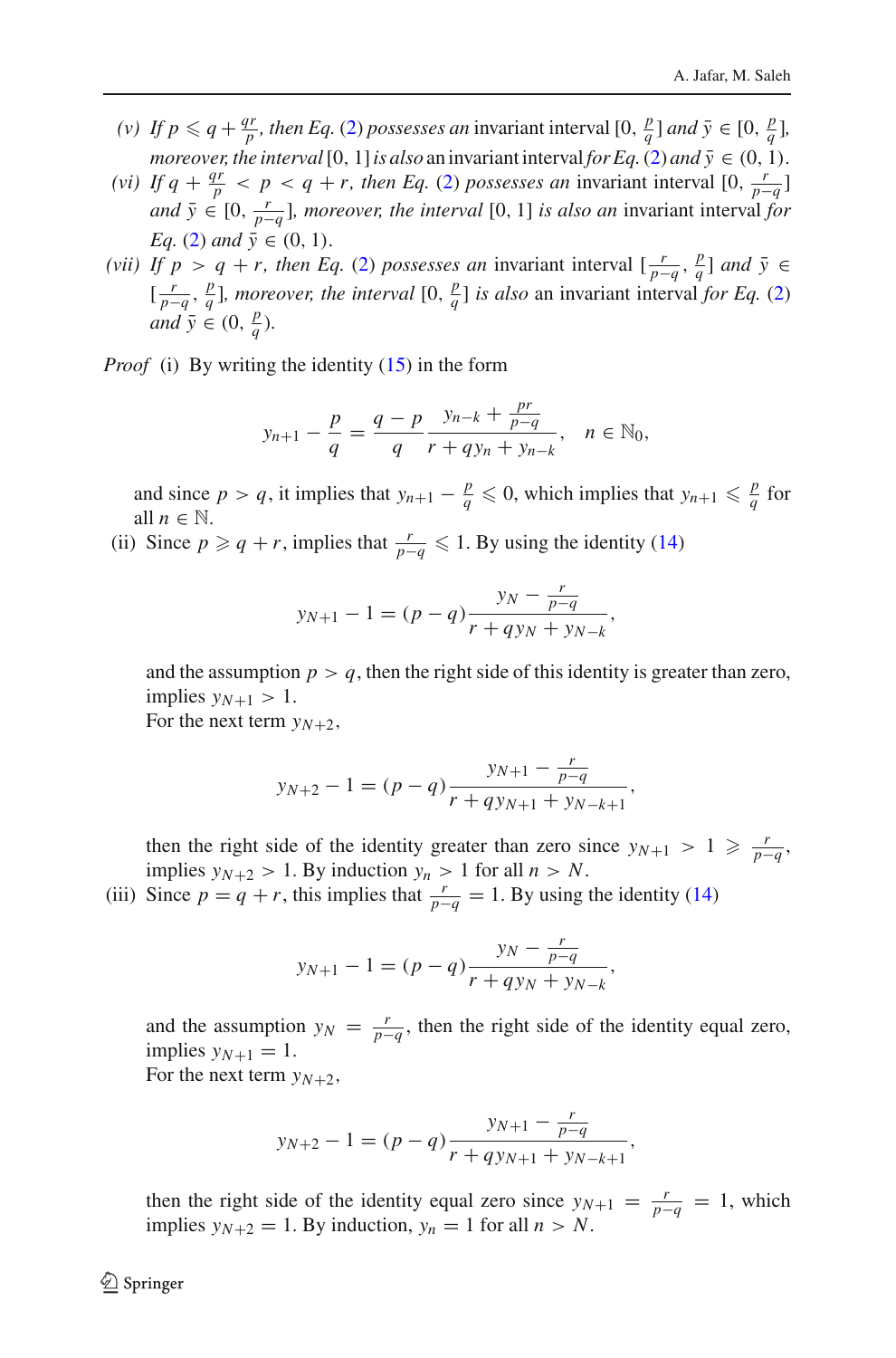- *(v) If*  $p \le q + \frac{qr}{p}$ , *then Eq.* [\(2\)](#page-1-0) *possesses an* invariant interval  $[0, \frac{p}{q}]$  *and*  $\bar{y} \in [0, \frac{p}{q}]$ , *moreover, the interval* [0, 1] *is also* an invariant interval *for Eq.* [\(2\)](#page-1-0) *and*  $\bar{y} \in (0, 1)$ *.*
- *(vi) If q* +  $\frac{qr}{p}$  < *p* < *q* + *r, then Eq.* [\(2\)](#page-1-0) *possesses an* invariant interval [0,  $\frac{r}{p-q}$ ] *and*  $\bar{y} \in [0, \frac{r}{p-q}]$ *, moreover, the interval* [0, 1] *is also an* invariant interval *for Eq.* [\(2\)](#page-1-0) *and*  $\bar{y} \in (0, 1)$ *.*
- *(vii) If*  $p > q + r$ *, then Eq.* [\(2\)](#page-1-0) *possesses an* invariant interval  $\left[\frac{r}{p-q}, \frac{p}{q}\right]$  *and*  $\bar{y} \in \mathbb{R}$  $\left[\frac{r}{p-q}, \frac{p}{q}\right]$ *, moreover, the interval*  $\left[0, \frac{p}{q}\right]$  *is also* an invariant interval *for Eq.* [\(2\)](#page-1-0) *and*  $\bar{y} \in (0, \frac{p}{q})$ *.*

*Proof* (i) By writing the identity [\(15\)](#page-7-0) in the form

$$
y_{n+1} - \frac{p}{q} = \frac{q-p}{q} \frac{y_{n-k} + \frac{pr}{p-q}}{r + qy_n + y_{n-k}}, \quad n \in \mathbb{N}_0,
$$

and since  $p > q$ , it implies that  $y_{n+1} - \frac{p}{q} \leq 0$ , which implies that  $y_{n+1} \leq \frac{p}{q}$  for all  $n \in \mathbb{N}$ .

(ii) Since  $p \geqslant q + r$ , implies that  $\frac{r}{p-q} \leqslant 1$ . By using the identity [\(14\)](#page-7-0)

$$
y_{N+1} - 1 = (p - q) \frac{y_N - \frac{r}{p - q}}{r + q y_N + y_{N-k}},
$$

and the assumption  $p > q$ , then the right side of this identity is greater than zero, implies  $y_{N+1} > 1$ .

For the next term  $y_{N+2}$ ,

$$
y_{N+2} - 1 = (p - q) \frac{y_{N+1} - \frac{r}{p - q}}{r + q y_{N+1} + y_{N-k+1}},
$$

then the right side of the identity greater than zero since  $y_{N+1} > 1 \ge \frac{r}{p-q}$ , implies  $y_{N+2} > 1$ . By induction  $y_n > 1$  for all  $n > N$ .

(iii) Since  $p = q + r$ , this implies that  $\frac{r}{p-q} = 1$ . By using the identity [\(14\)](#page-7-0)

$$
y_{N+1} - 1 = (p - q) \frac{y_N - \frac{r}{p - q}}{r + q y_N + y_{N-k}}
$$

and the assumption  $y_N = \frac{r}{p-q}$ , then the right side of the identity equal zero, implies  $y_{N+1} = 1$ . For the next term  $y_{N+2}$ ,

,

,

$$
y_{N+2} - 1 = (p - q) \frac{y_{N+1} - \frac{r}{p - q}}{r + q y_{N+1} + y_{N-k+1}}
$$

then the right side of the identity equal zero since  $y_{N+1} = \frac{r}{p-q} = 1$ , which implies  $y_{N+2} = 1$ . By induction,  $y_n = 1$  for all  $n > N$ .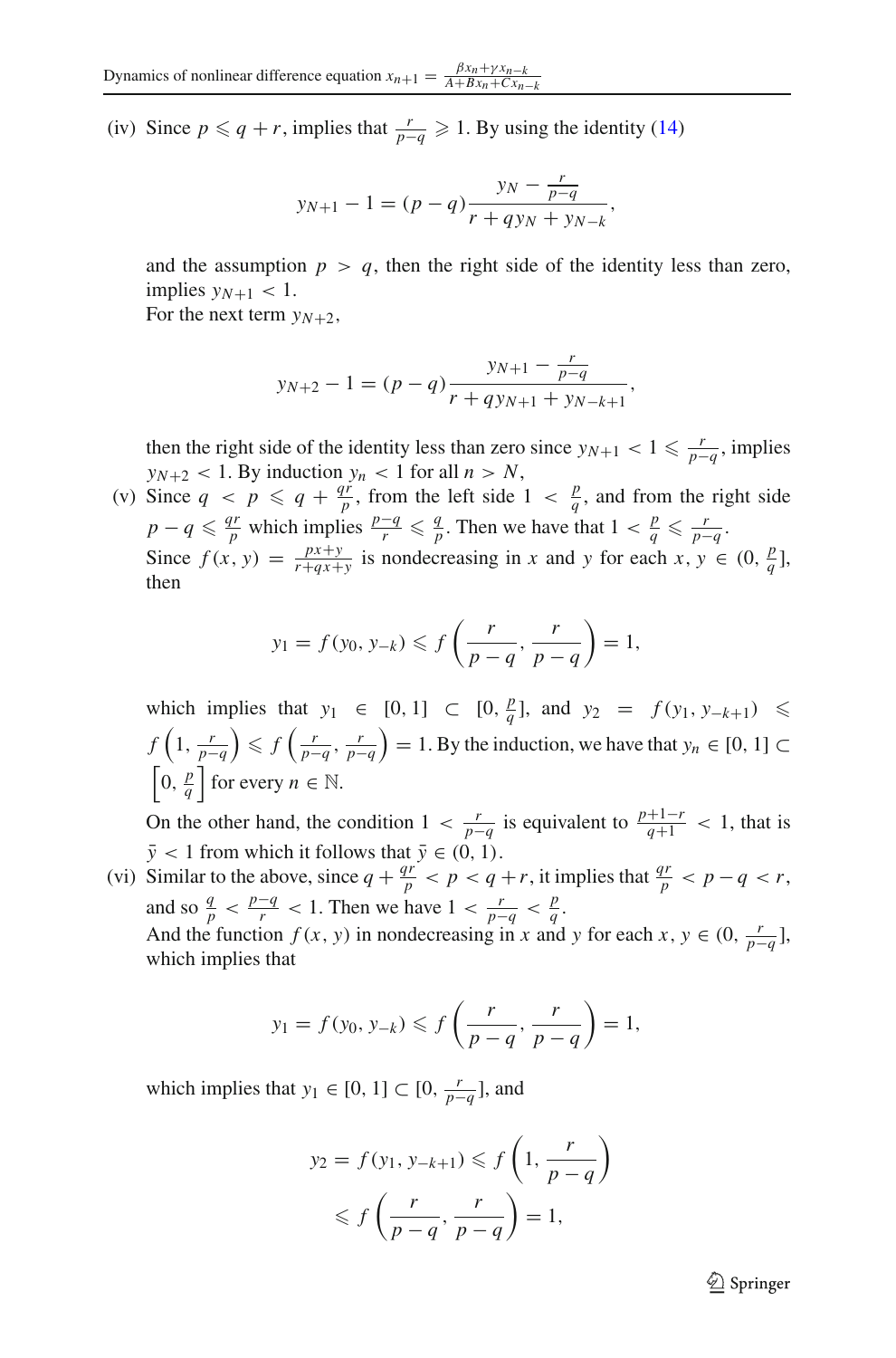(iv) Since  $p \le q + r$ , implies that  $\frac{r}{p-q} \ge 1$ . By using the identity [\(14\)](#page-7-0)

$$
y_{N+1} - 1 = (p - q) \frac{y_N - \frac{r}{p - q}}{r + q y_N + y_{N-k}},
$$

and the assumption  $p > q$ , then the right side of the identity less than zero, implies  $y_{N+1}$  < 1.

For the next term  $v_{N+2}$ ,

$$
y_{N+2} - 1 = (p - q) \frac{y_{N+1} - \frac{r}{p - q}}{r + q y_{N+1} + y_{N-k+1}},
$$

then the right side of the identity less than zero since  $y_{N+1} < 1 \leq \frac{r}{p-q}$ , implies  $y_{N+2}$  < 1. By induction  $y_n$  < 1 for all  $n > N$ ,

(v) Since  $q \lt p \le q + \frac{q\dot{r}}{p}$ , from the left side  $1 \lt \frac{p}{q}$ , and from the right side  $p - q \leq \frac{qr}{p}$  which implies  $\frac{p-q}{r} \leq \frac{q}{p}$ . Then we have that  $1 < \frac{p}{q} \leq \frac{r}{p-q}$ . Since  $f(x, y) = \frac{px+y}{r+qx+y}$  is nondecreasing in *x* and *y* for each  $x, y \in (0, \frac{p}{q}]$ , then

$$
y_1 = f(y_0, y_{-k}) \leq f\left(\frac{r}{p-q}, \frac{r}{p-q}\right) = 1,
$$

which implies that *y*<sub>1</sub> ∈ [0, 1] ⊂ [0,  $\frac{p}{q}$ ], and *y*<sub>2</sub> = *f* (*y*<sub>1</sub>, *y*−*k*+1) ≤  $f\left(1,\frac{r}{p-q}\right)$  $\left\langle \int \frac{r}{p-q}, \frac{r}{p-q} \right\rangle$  $= 1.$  By the induction, we have that  $y_n \in [0, 1]$  $\left[0, \frac{p}{q}\right]$  for every  $n \in \mathbb{N}$ .

On the other hand, the condition  $1 < \frac{r}{p-q}$  is equivalent to  $\frac{p+1-r}{q+1} < 1$ , that is *y* < 1 from which it follows that  $\bar{y} \in (0, 1)$ .

(vi) Similar to the above, since  $q + \frac{qr}{p} < p < q + r$ , it implies that  $\frac{qr}{p} < p - q < r$ , and so  $\frac{q}{p} < \frac{p-q}{r} < 1$ . Then we have  $1 < \frac{r}{p-q} < \frac{p}{q}$ . And the function *f* (*x*, *y*) in nondecreasing in *x* and *y* for each *x*,  $y \in (0, \frac{r}{p-q}]$ , which implies that

$$
y_1 = f(y_0, y_{-k}) \leq f\left(\frac{r}{p-q}, \frac{r}{p-q}\right) = 1,
$$

which implies that  $y_1 \in [0, 1] \subset [0, \frac{r}{p-q}]$ , and

$$
y_2 = f(y_1, y_{-k+1}) \leq f\left(1, \frac{r}{p-q}\right)
$$
  
 
$$
\leq f\left(\frac{r}{p-q}, \frac{r}{p-q}\right) = 1,
$$

 $\mathcal{L}$  Springer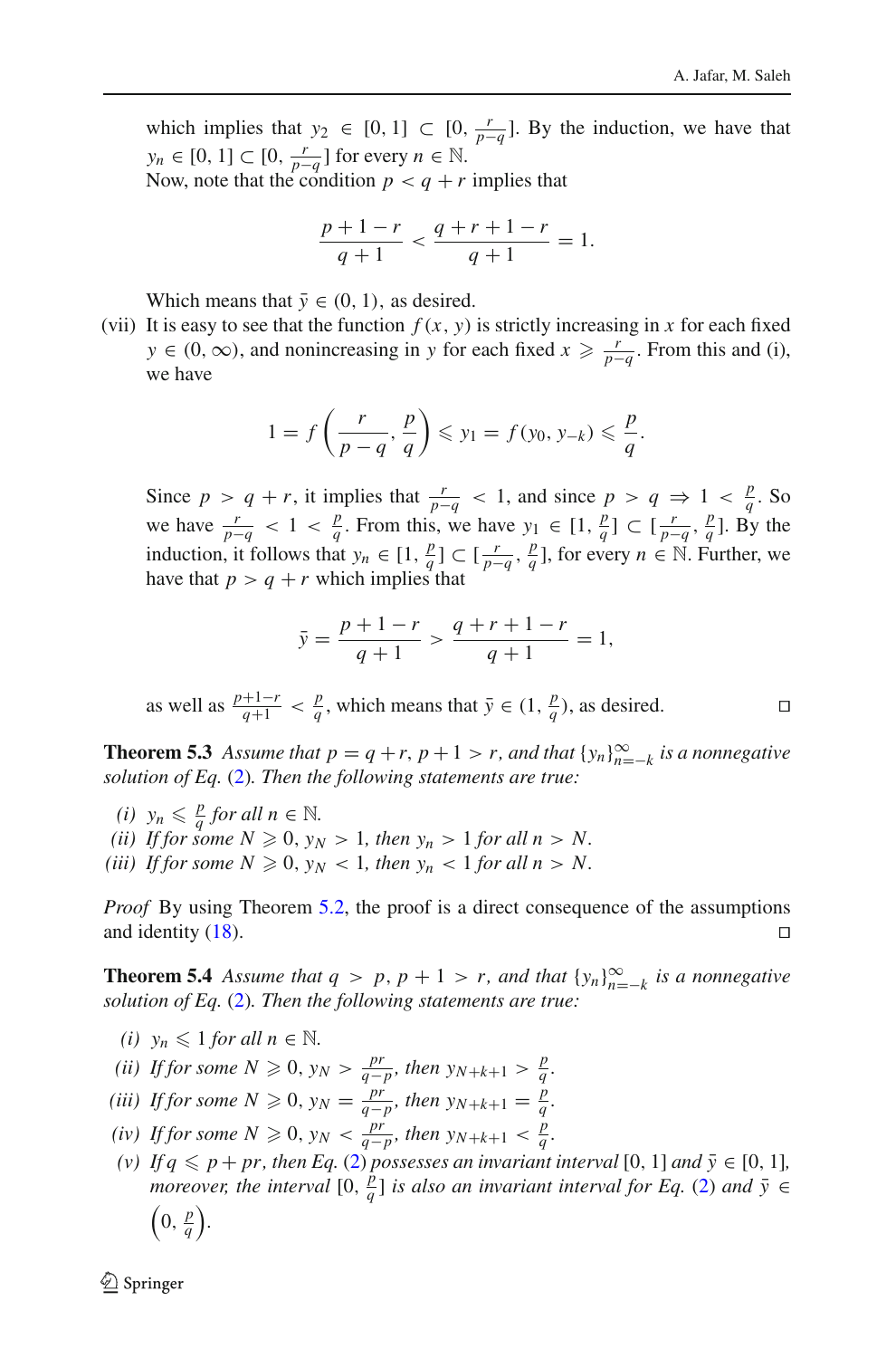which implies that  $y_2$  ∈ [0, 1] ⊂ [0,  $\frac{r}{p-q}$ ]. By the induction, we have that  $y_n \in [0, 1] \subset [0, \frac{r}{p-q}]$  for every  $n \in \mathbb{N}$ .

Now, note that the condition  $p < q + r$  implies that

$$
\frac{p+1-r}{q+1} < \frac{q+r+1-r}{q+1} = 1.
$$

Which means that  $\bar{v} \in (0, 1)$ , as desired.

(vii) It is easy to see that the function  $f(x, y)$  is strictly increasing in x for each fixed *y* ∈ (0, ∞), and nonincreasing in *y* for each fixed  $x \ge \frac{r}{p-q}$ . From this and (i), we have

$$
1 = f\left(\frac{r}{p-q}, \frac{p}{q}\right) \leqslant y_1 = f(y_0, y_{-k}) \leqslant \frac{p}{q}.
$$

Since  $p > q + r$ , it implies that  $\frac{r}{p-q} < 1$ , and since  $p > q \Rightarrow 1 < \frac{p}{q}$ . So we have  $\frac{r}{p-q} < 1 < \frac{p}{q}$ . From this, we have  $y_1 \in [1, \frac{p}{q}] \subset [\frac{r}{p-q}, \frac{p}{q}]$ . By the induction, it follows that  $y_n \in [1, \frac{p}{p}] \subset [\frac{r}{p-q}, \frac{p}{q}]$ , for every  $n \in \mathbb{N}$ . Further, we have that  $p > q + r$  which implies that

$$
\bar{y} = \frac{p+1-r}{q+1} > \frac{q+r+1-r}{q+1} = 1,
$$

as well as  $\frac{p+1-r}{q+1} < \frac{p}{q}$ , which means that  $\bar{y} \in (1, \frac{p}{q})$ , as desired. □

**Theorem 5.3** Assume that  $p = q + r$ ,  $p + 1 > r$ , and that  $\{y_n\}_{n=-k}^{\infty}$  is a nonnegative *solution of Eq.* [\(2\)](#page-1-0)*. Then the following statements are true:*

*(i)*  $y_n \leq \frac{p}{q}$  *for all*  $n \in \mathbb{N}$ .

(*ii*) If for some  $N \ge 0$ ,  $y_N > 1$ , then  $y_n > 1$  for all  $n > N$ .

(*iii*) If for some  $N \geqslant 0$ ,  $y_N < 1$ , then  $y_n < 1$  for all  $n > N$ .

*Proof* By using Theorem [5.2,](#page-8-0) the proof is a direct consequence of the assumptions and identity  $(18)$ .

<span id="page-11-0"></span>**Theorem 5.4** *Assume that*  $q > p$ ,  $p + 1 > r$ , and that  $\{y_n\}_{n=-k}^{\infty}$  *is a nonnegative solution of Eq.* [\(2\)](#page-1-0)*. Then the following statements are true:*

- *(i)*  $y_n \leq 1$  *for all*  $n \in \mathbb{N}$ .
- *(ii) If for some*  $N \ge 0$ ,  $y_N > \frac{pr}{q-p}$ , then  $y_{N+k+1} > \frac{p}{q}$ .
- *(iii) If for some*  $N \ge 0$ ,  $y_N = \frac{pr}{q-p}$ , then  $y_{N+k+1} = \frac{p}{q}$ .
- *(iv) If for some*  $N \ge 0$ ,  $y_N < \frac{pr}{q-p}$ , then  $y_{N+k+1} < \frac{p}{q}$ .
- (v) If  $q \leq p + pr$ , then Eq. [\(2\)](#page-1-0) possesses an invariant interval [0, 1] and  $\bar{y} \in [0, 1]$ , *moreover, the interval*  $[0, \frac{p}{q}]$  *is also an invariant interval for Eq.* [\(2\)](#page-1-0) *and*  $\bar{y} \in$  $\left(0, \frac{p}{q}\right)$ .

 $\mathcal{L}$  Springer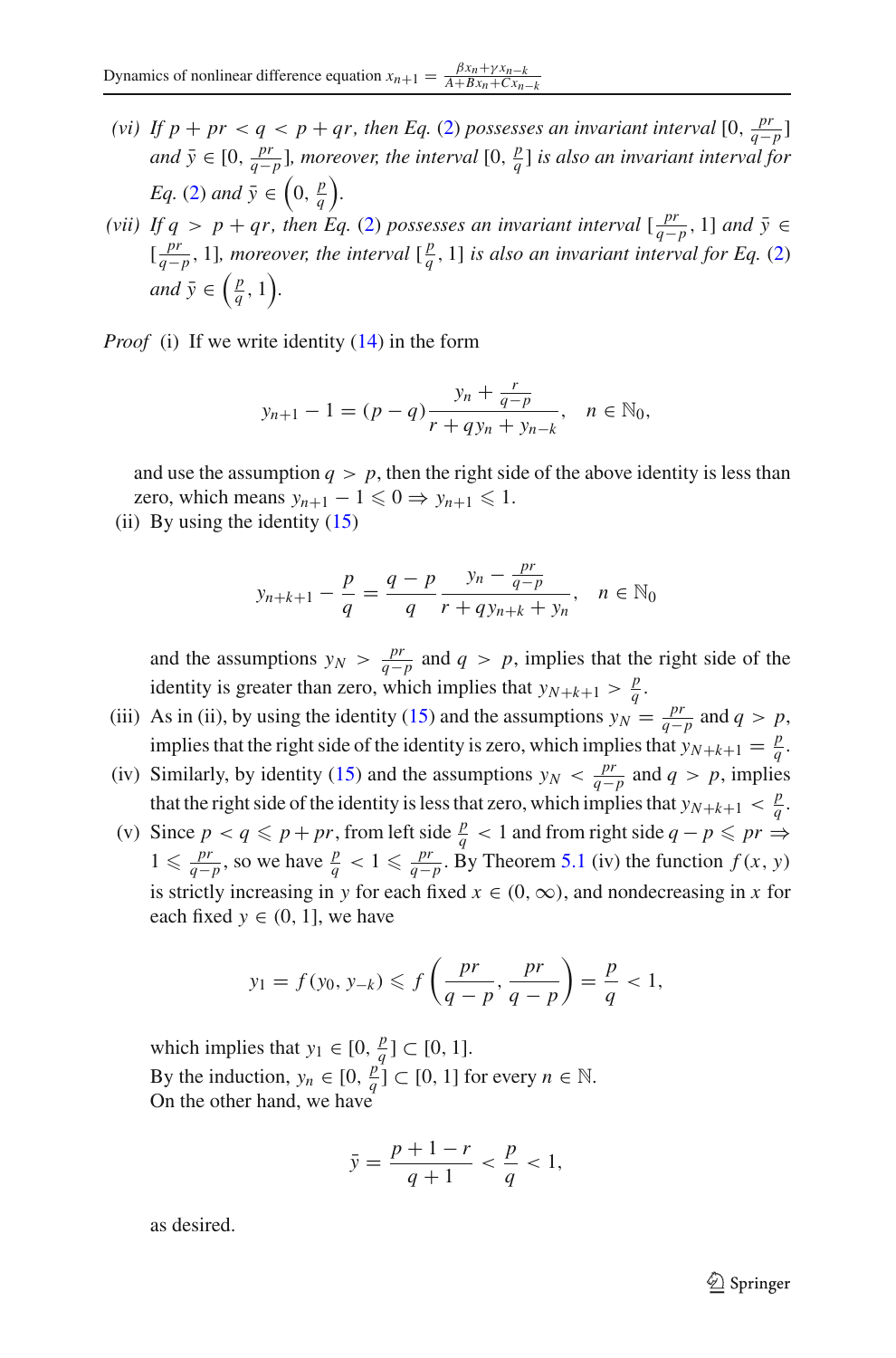- *(vi) If*  $p + pr < q < p + qr$ , then Eq. [\(2\)](#page-1-0) possesses an invariant interval  $[0, \frac{pr}{q-p}]$ *and*  $\bar{y} \in [0, \frac{pr}{q-p}]$ , moreover, the interval  $[0, \frac{p}{q}]$  is also an invariant interval for *Eq.* [\(2\)](#page-1-0) and  $\bar{y} \in \left(0, \frac{p}{q}\right)$ .
- *(vii) If q* > *p* + *qr, then Eq.* [\(2\)](#page-1-0) *possesses an invariant interval*  $\left[\frac{pr}{q-p}, 1\right]$  *and*  $\bar{y} \in \mathbb{R}$  $\left[\frac{pr}{q-p}, 1\right]$ , moreover, the interval  $\left[\frac{p}{q}, 1\right]$  *is also an invariant interval for Eq.* [\(2\)](#page-1-0) *and*  $\bar{y} \in \left(\frac{p}{q}, 1\right)$ .

*Proof* (i) If we write identity [\(14\)](#page-7-0) in the form

$$
y_{n+1} - 1 = (p - q) \frac{y_n + \frac{r}{q - p}}{r + q y_n + y_{n-k}}, \quad n \in \mathbb{N}_0,
$$

and use the assumption  $q > p$ , then the right side of the above identity is less than zero, which means  $y_{n+1} - 1 \leq 0 \Rightarrow y_{n+1} \leq 1$ .

(ii) By using the identity  $(15)$ 

$$
y_{n+k+1} - \frac{p}{q} = \frac{q-p}{q} \frac{y_n - \frac{pr}{q-p}}{r + qy_{n+k} + y_n}, \quad n \in \mathbb{N}_0
$$

and the assumptions  $y_N > \frac{pr}{q-p}$  and  $q > p$ , implies that the right side of the identity is greater than zero, which implies that  $y_{N+k+1} > \frac{p}{q}$ .

- (iii) As in (ii), by using the identity [\(15\)](#page-7-0) and the assumptions  $y_N = \frac{pr}{q-p}$  and  $q > p$ , implies that the right side of the identity is zero, which implies that  $y_{N+k+1} = \frac{p}{q}$ .
- (iv) Similarly, by identity [\(15\)](#page-7-0) and the assumptions  $y_N < \frac{pr}{q-p}$  and  $q > p$ , implies that the right side of the identity is less that zero, which implies that  $y_{N+k+1} < \frac{p}{q}$ .
- (v) Since  $p < q \leq p + pr$ , from left side  $\frac{p}{q} < 1$  and from right side  $q p \leq pr \rightarrow$ 1 ≤  $\frac{pr}{q-p}$ , so we have  $\frac{p}{q}$  < 1 ≤  $\frac{pr}{q-p}$ . By Theorem [5.1](#page-8-2) (iv) the function  $f(x, y)$ is strictly increasing in *y* for each fixed  $x \in (0, \infty)$ , and nondecreasing in *x* for each fixed  $y \in (0, 1]$ , we have

$$
y_1 = f(y_0, y_{-k}) \leq f\left(\frac{pr}{q-p}, \frac{pr}{q-p}\right) = \frac{p}{q} < 1,
$$

which implies that  $y_1 \in [0, \frac{p}{q}] \subset [0, 1]$ . By the induction,  $y_n \in [0, \frac{p}{q}] \subset [0, 1]$  for every  $n \in \mathbb{N}$ . On the other hand, we have

$$
\bar{y} = \frac{p+1-r}{q+1} < \frac{p}{q} < 1,
$$

as desired.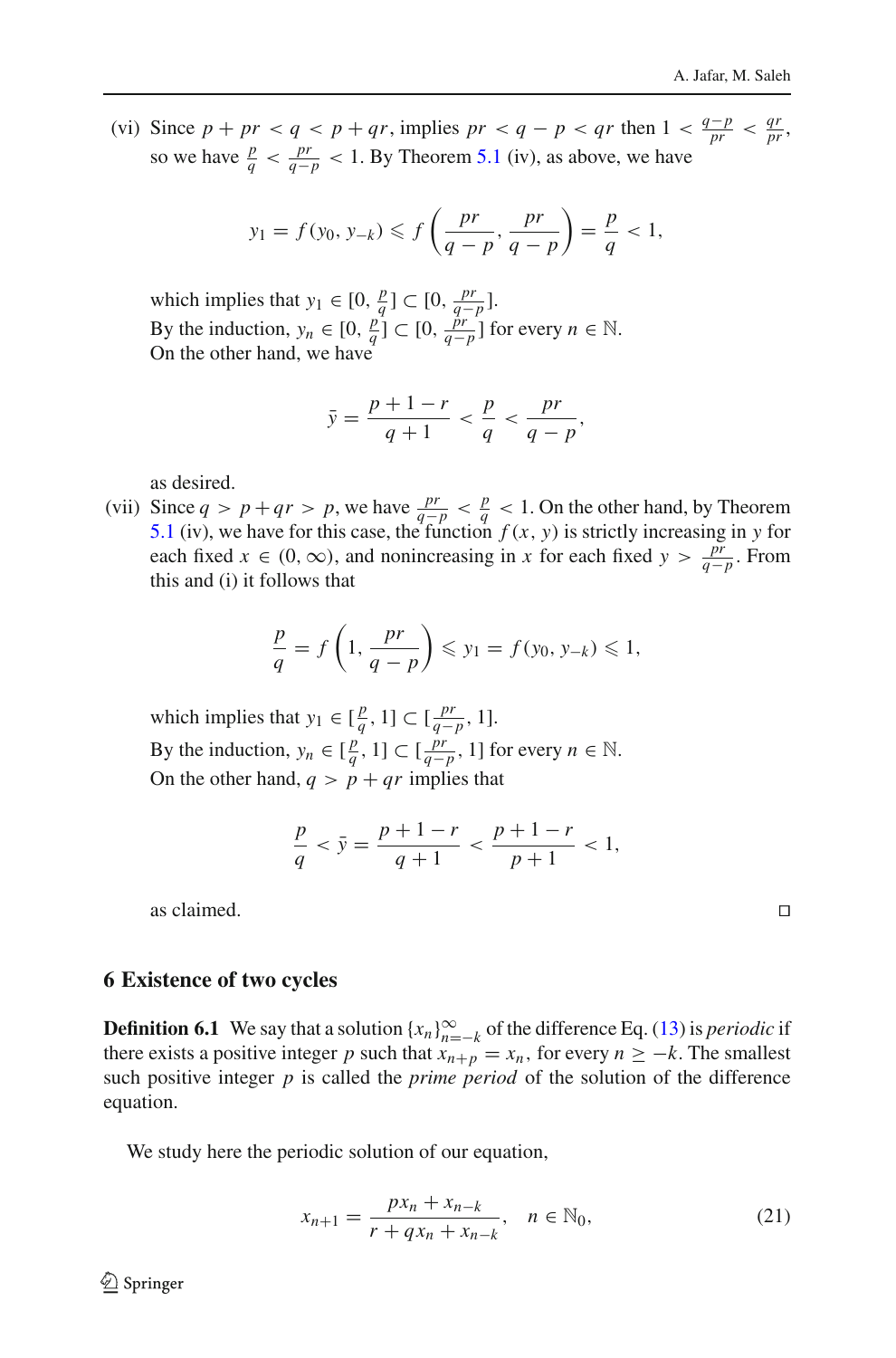(vi) Since  $p + pr < q < p + qr$ , implies  $pr < q - p < qr$  then  $1 < \frac{q-p}{pr} < \frac{qr}{pr}$ , so we have  $\frac{p}{q} < \frac{pr}{q-p} < 1$ . By Theorem [5.1](#page-8-2) (iv), as above, we have

$$
y_1 = f(y_0, y_{-k}) \leq f\left(\frac{pr}{q-p}, \frac{pr}{q-p}\right) = \frac{p}{q} < 1,
$$

which implies that  $y_1 \in [0, \frac{p}{q}] \subset [0, \frac{pr}{q-p}]$ . By the induction,  $y_n \in [0, \frac{p}{q}]\subset [0, \frac{pr}{q-p}]$  for every  $n \in \mathbb{N}$ . On the other hand, we have

$$
\bar{y} = \frac{p+1-r}{q+1} < \frac{p}{q} < \frac{pr}{q-p},
$$

as desired.

(vii) Since  $q > p + qr > p$ , we have  $\frac{pr}{q-p} < \frac{p}{q} < 1$ . On the other hand, by Theorem [5.1](#page-8-2) (iv), we have for this case, the function  $f(x, y)$  is strictly increasing in y for each fixed  $x \in (0, \infty)$ , and nonincreasing in *x* for each fixed  $y > \frac{p^2}{q-p}$ . From this and (i) it follows that

$$
\frac{p}{q} = f\left(1, \frac{pr}{q-p}\right) \leqslant y_1 = f(y_0, y_{-k}) \leqslant 1,
$$

which implies that  $y_1 \in \left[\frac{p}{q}, 1\right] \subset \left[\frac{pr}{q-p}, 1\right]$ . By the induction,  $y_n \in [\frac{p}{q}, 1] \subset [\frac{pr}{q-p}, 1]$  for every  $n \in \mathbb{N}$ . On the other hand,  $q > p + qr$  implies that

$$
\frac{p}{q} < \bar{y} = \frac{p+1-r}{q+1} < \frac{p+1-r}{p+1} < 1,
$$

as claimed.  $\Box$ 

### **6 Existence of two cycles**

**Definition 6.1** We say that a solution  $\{x_n\}_{n=-k}^{\infty}$  of the difference Eq. [\(13\)](#page-6-0) is *periodic* if there exists a positive integer *p* such that  $x_{n+p} = x_n$ , for every  $n \geq -k$ . The smallest such positive integer  $p$  is called the *prime period* of the solution of the difference equation.

We study here the periodic solution of our equation,

<span id="page-13-0"></span>
$$
x_{n+1} = \frac{px_n + x_{n-k}}{r + qx_n + x_{n-k}}, \quad n \in \mathbb{N}_0,
$$
\n(21)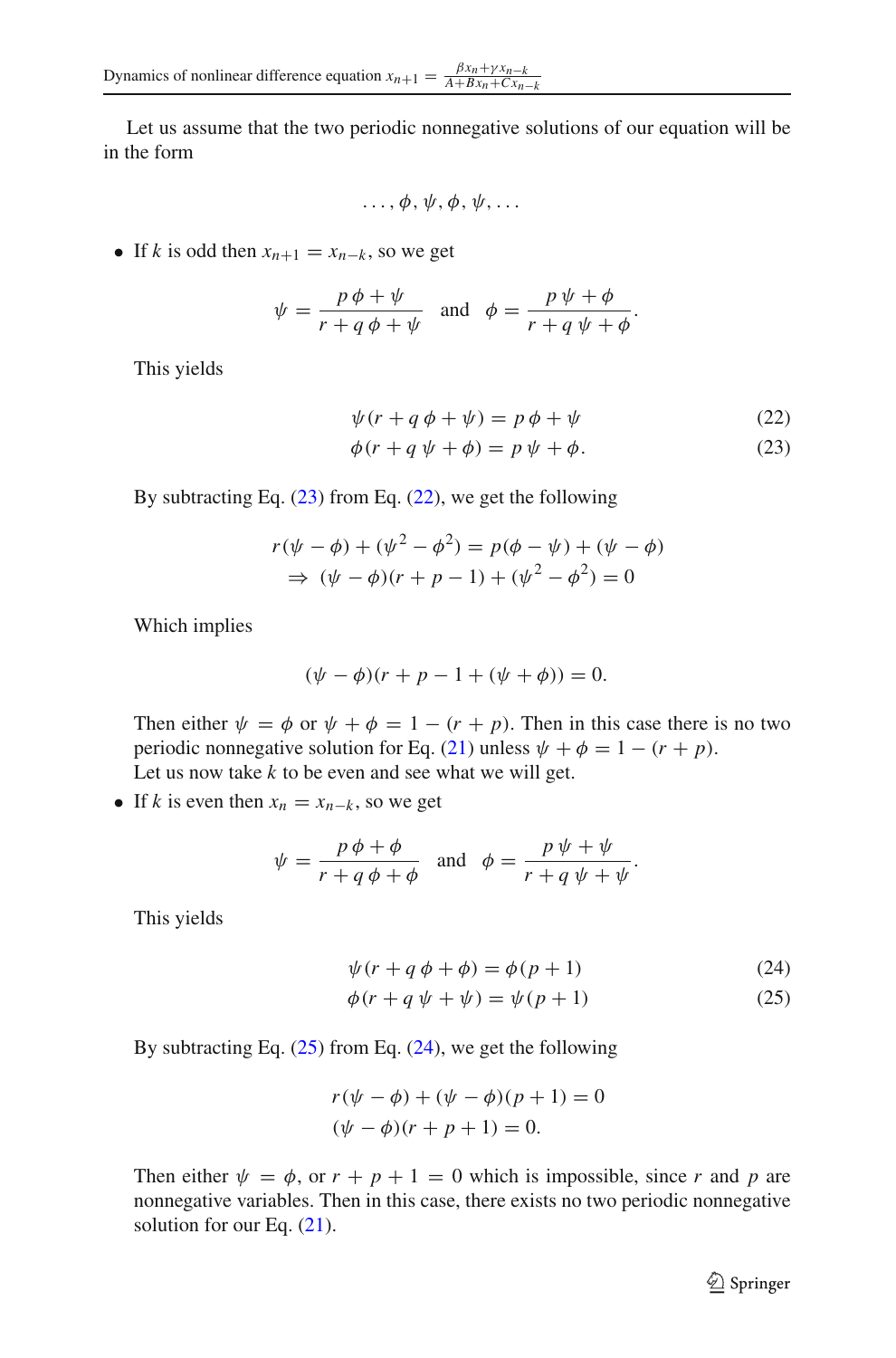Let us assume that the two periodic nonnegative solutions of our equation will be in the form

$$
\ldots, \phi, \psi, \phi, \psi, \ldots
$$

• If *k* is odd then  $x_{n+1} = x_{n-k}$ , so we get

$$
\psi = \frac{p\,\phi + \psi}{r + q\,\phi + \psi} \quad \text{and} \quad \phi = \frac{p\,\psi + \phi}{r + q\,\psi + \phi}.
$$

This yields

<span id="page-14-0"></span>
$$
\psi(r + q \phi + \psi) = p \phi + \psi \tag{22}
$$
\n
$$
\phi(r + q \psi + \phi) = p \psi + \phi. \tag{23}
$$

By subtracting Eq.  $(23)$  from Eq.  $(22)$ , we get the following

$$
r(\psi - \phi) + (\psi^2 - \phi^2) = p(\phi - \psi) + (\psi - \phi)
$$
  
\n
$$
\Rightarrow (\psi - \phi)(r + p - 1) + (\psi^2 - \phi^2) = 0
$$

Which implies

$$
(\psi - \phi)(r + p - 1 + (\psi + \phi)) = 0.
$$

Then either  $\psi = \phi$  or  $\psi + \phi = 1 - (r + p)$ . Then in this case there is no two periodic nonnegative solution for Eq. [\(21\)](#page-13-0) unless  $\psi + \phi = 1 - (r + p)$ . Let us now take  $k$  to be even and see what we will get.

• If *k* is even then  $x_n = x_{n-k}$ , so we get

$$
\psi = \frac{p\,\phi + \phi}{r + q\,\phi + \phi} \quad \text{and} \quad \phi = \frac{p\,\psi + \psi}{r + q\,\psi + \psi}.
$$

This yields

<span id="page-14-1"></span>
$$
\psi(r + q \phi + \phi) = \phi(p + 1) \tag{24}
$$

$$
\phi(r + q \psi + \psi) = \psi(p + 1) \tag{25}
$$

By subtracting Eq.  $(25)$  from Eq.  $(24)$ , we get the following

$$
r(\psi - \phi) + (\psi - \phi)(p + 1) = 0
$$
  
( $\psi - \phi$ )( $r + p + 1$ ) = 0.

Then either  $\psi = \phi$ , or  $r + p + 1 = 0$  which is impossible, since *r* and *p* are nonnegative variables. Then in this case, there exists no two periodic nonnegative solution for our Eq.  $(21)$ .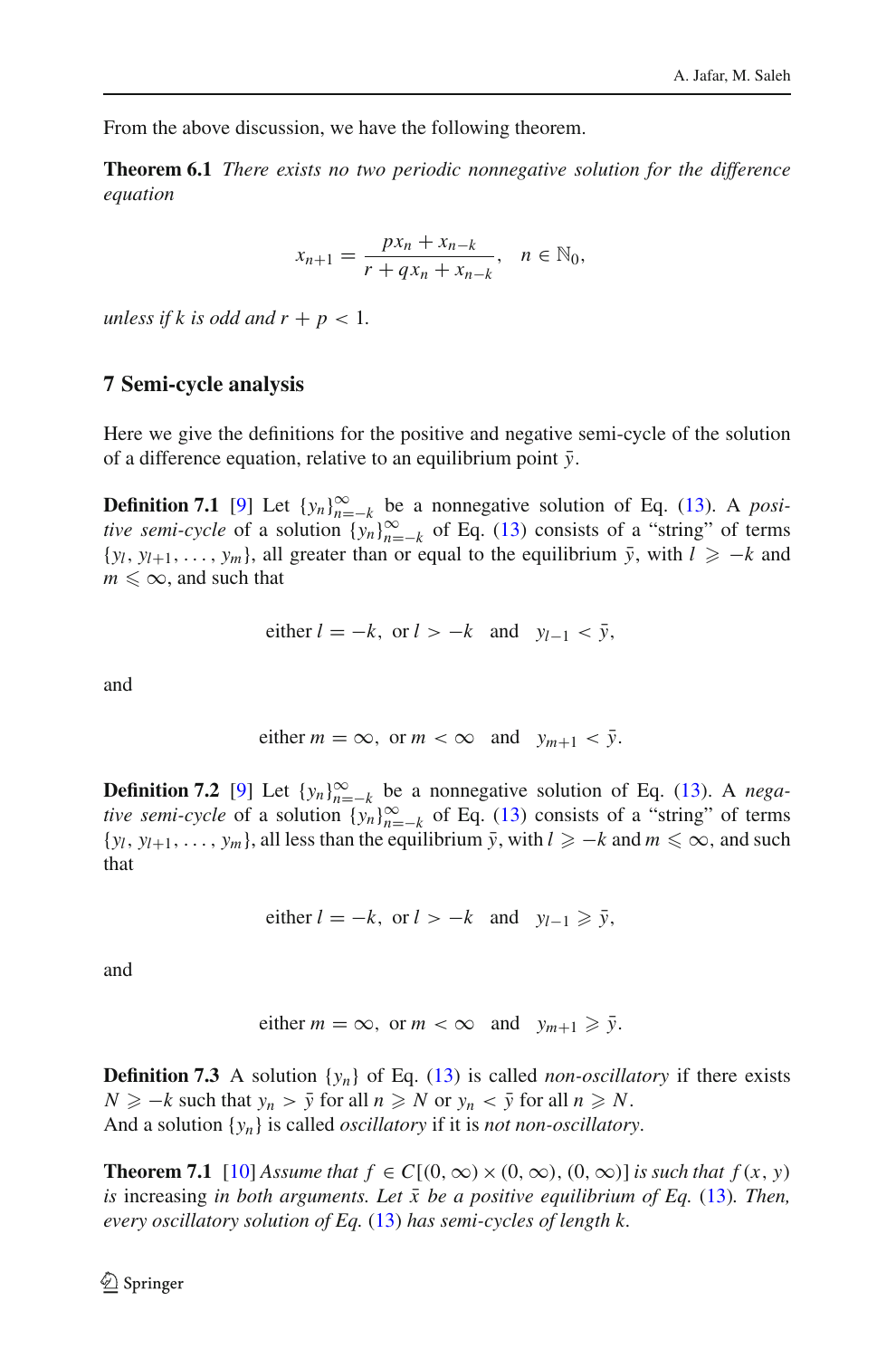From the above discussion, we have the following theorem.

**Theorem 6.1** *There exists no two periodic nonnegative solution for the difference equation*

$$
x_{n+1} = \frac{px_n + x_{n-k}}{r + qx_n + x_{n-k}}, \quad n \in \mathbb{N}_0,
$$

*unless if k is odd and*  $r + p < 1$ *.* 

## **7 Semi-cycle analysis**

Here we give the definitions for the positive and negative semi-cycle of the solution of a difference equation, relative to an equilibrium point  $\bar{v}$ .

**Definition 7.1** [\[9](#page-29-2)] Let  $\{y_n\}_{n=-k}^{\infty}$  be a nonnegative solution of Eq. [\(13\)](#page-6-0). A *positive semi-cycle* of a solution  $\{y_n\}_{n=-k}^{\infty}$  of Eq. [\(13\)](#page-6-0) consists of a "string" of terms  $\{y_l, y_{l+1}, \ldots, y_m\}$ , all greater than or equal to the equilibrium  $\bar{y}$ , with  $l \geq -k$  and  $m \leq \infty$ , and such that

either 
$$
l = -k
$$
, or  $l > -k$  and  $y_{l-1} < \bar{y}$ ,

and

either 
$$
m = \infty
$$
, or  $m < \infty$  and  $y_{m+1} < \bar{y}$ .

**Definition 7.2** [\[9](#page-29-2)] Let  $\{y_n\}_{n=-k}^{\infty}$  be a nonnegative solution of Eq. [\(13\)](#page-6-0). A *negative semi-cycle* of a solution  $\{y_n\}_{n=-k}^{\infty}$  of Eq. [\(13\)](#page-6-0) consists of a "string" of terms  $\{y_l, y_{l+1}, \ldots, y_m\}$ , all less than the equilibrium  $\bar{y}$ , with  $l \geq -k$  and  $m \leq \infty$ , and such that

either 
$$
l = -k
$$
, or  $l > -k$  and  $y_{l-1} \geq \overline{y}$ ,

and

either 
$$
m = \infty
$$
, or  $m < \infty$  and  $y_{m+1} \geq \overline{y}$ .

**Definition 7.3** A solution  $\{y_n\}$  of Eq. [\(13\)](#page-6-0) is called *non-oscillatory* if there exists  $N \ge -k$  such that  $y_n > \bar{y}$  for all  $n \ge N$  or  $y_n < \bar{y}$  for all  $n \ge N$ . And a solution {*yn*} is called *oscillatory* if it is *not non-oscillatory*.

<span id="page-15-0"></span>**Theorem 7.1** [\[10](#page-29-1)] *Assume that*  $f \in C[(0, \infty) \times (0, \infty), (0, \infty)]$  *is such that*  $f(x, y)$ *is* increasing *in both arguments. Let*  $\bar{x}$  *be a positive equilibrium of Eq.* [\(13\)](#page-6-0)*. Then, every oscillatory solution of Eq.* [\(13\)](#page-6-0) *has semi-cycles of length k.*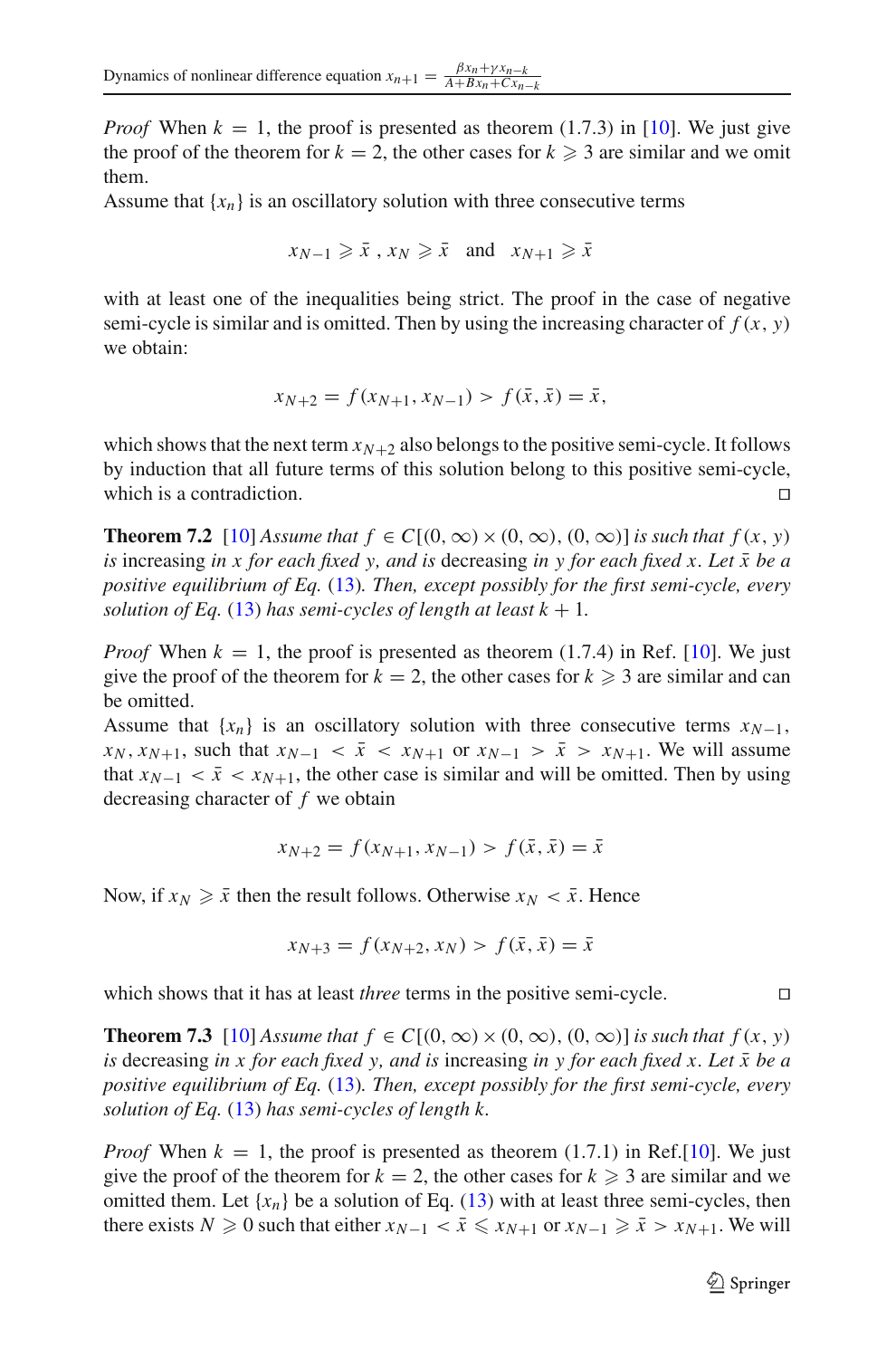*Proof* When  $k = 1$ , the proof is presented as theorem (1.7.3) in [\[10\]](#page-29-1). We just give the proof of the theorem for  $k = 2$ , the other cases for  $k \geq 3$  are similar and we omit them.

Assume that  ${x_n}$  is an oscillatory solution with three consecutive terms

$$
x_{N-1} \ge \bar{x}
$$
,  $x_N \ge \bar{x}$  and  $x_{N+1} \ge \bar{x}$ 

with at least one of the inequalities being strict. The proof in the case of negative semi-cycle is similar and is omitted. Then by using the increasing character of  $f(x, y)$ we obtain:

$$
x_{N+2} = f(x_{N+1}, x_{N-1}) > f(\bar{x}, \bar{x}) = \bar{x},
$$

which shows that the next term  $x_{N+2}$  also belongs to the positive semi-cycle. It follows by induction that all future terms of this solution belong to this positive semi-cycle, which is a contradiction.

**Theorem 7.2** [\[10](#page-29-1)] *Assume that*  $f \in C[(0, \infty) \times (0, \infty), (0, \infty)]$  *is such that*  $f(x, y)$ *is* increasing *in x for each fixed y, and is* decreasing *in y for each fixed x. Let*  $\bar{x}$  *be a positive equilibrium of Eq.* [\(13\)](#page-6-0)*. Then, except possibly for the first semi-cycle, every solution of Eq.* [\(13\)](#page-6-0) *has semi-cycles of length at least*  $k + 1$ *.* 

*Proof* When  $k = 1$ , the proof is presented as theorem (1.7.4) in Ref. [\[10\]](#page-29-1). We just give the proof of the theorem for  $k = 2$ , the other cases for  $k \geq 3$  are similar and can be omitted.

Assume that  ${x_n}$  is an oscillatory solution with three consecutive terms  $x_{N-1}$ ,  $x_N$ ,  $x_{N+1}$ , such that  $x_{N-1} < \bar{x} < x_{N+1}$  or  $x_{N-1} > \bar{x} > x_{N+1}$ . We will assume that  $x_{N-1} < \bar{x} < x_{N+1}$ , the other case is similar and will be omitted. Then by using decreasing character of *f* we obtain

$$
x_{N+2} = f(x_{N+1}, x_{N-1}) > f(\bar{x}, \bar{x}) = \bar{x}
$$

Now, if  $x_N \geq \bar{x}$  then the result follows. Otherwise  $x_N < \bar{x}$ . Hence

$$
x_{N+3} = f(x_{N+2}, x_N) > f(\bar{x}, \bar{x}) = \bar{x}
$$

which shows that it has at least *three* terms in the positive semi-cycle.

<span id="page-16-0"></span>**Theorem 7.3** [\[10](#page-29-1)] *Assume that*  $f \in C[(0, \infty) \times (0, \infty), (0, \infty)]$  *is such that*  $f(x, y)$ *is* decreasing *in x for each fixed y, and is* increasing *in y for each fixed x. Let*  $\bar{x}$  *be a positive equilibrium of Eq.* [\(13\)](#page-6-0)*. Then, except possibly for the first semi-cycle, every solution of Eq.* [\(13\)](#page-6-0) *has semi-cycles of length k.*

*Proof* When  $k = 1$ , the proof is presented as theorem (1.7.1) in Ref.[\[10](#page-29-1)]. We just give the proof of the theorem for  $k = 2$ , the other cases for  $k \geq 3$  are similar and we omitted them. Let  $\{x_n\}$  be a solution of Eq. [\(13\)](#page-6-0) with at least three semi-cycles, then there exists  $N \ge 0$  such that either  $x_{N-1} < \bar{x} \le x_{N+1}$  or  $x_{N-1} \ge \bar{x} > x_{N+1}$ . We will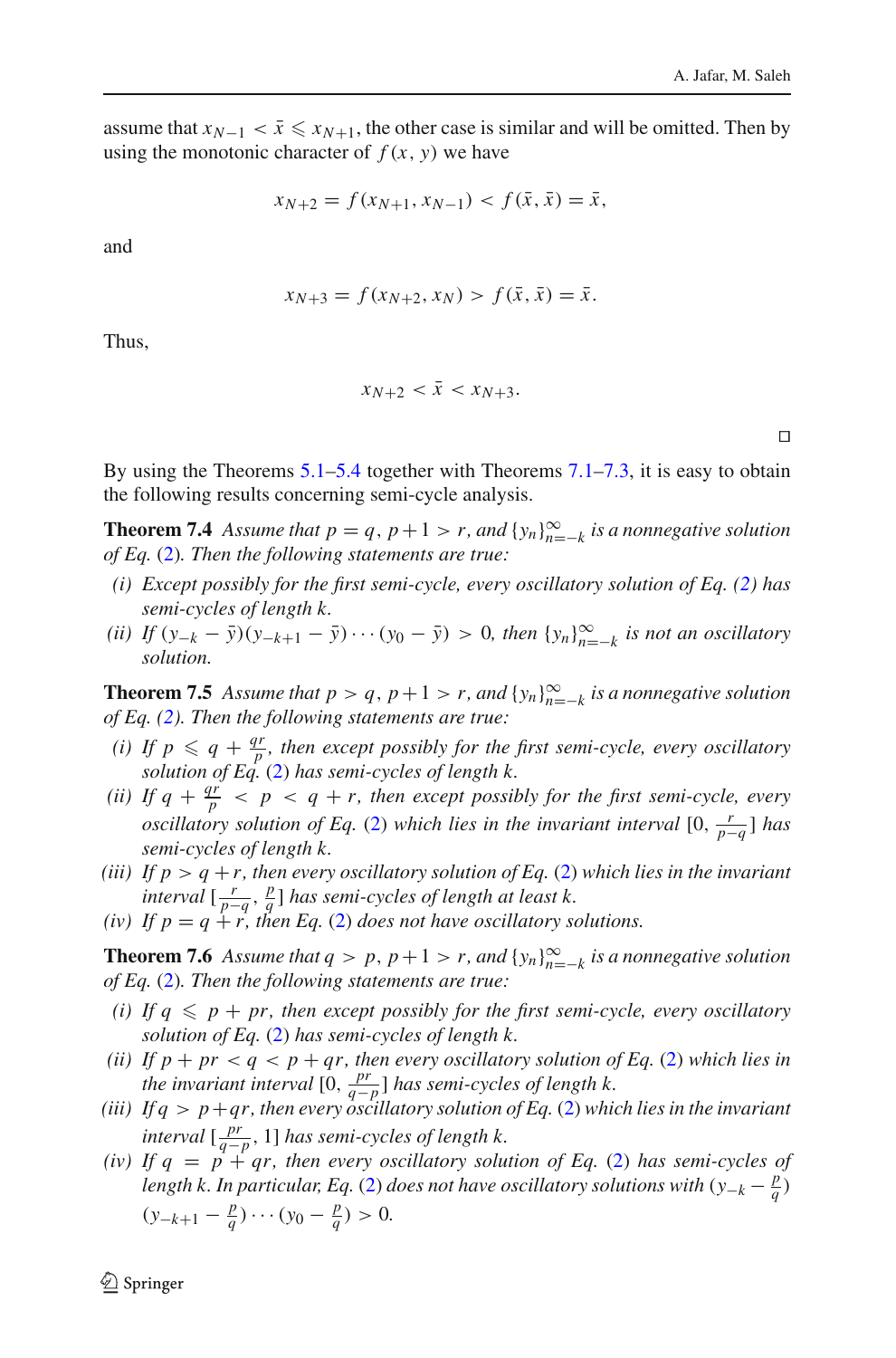assume that  $x_{N-1} < \bar{x} \le x_{N+1}$ , the other case is similar and will be omitted. Then by using the monotonic character of  $f(x, y)$  we have

$$
x_{N+2} = f(x_{N+1}, x_{N-1}) < f(\bar{x}, \bar{x}) = \bar{x},
$$

and

$$
x_{N+3} = f(x_{N+2}, x_N) > f(\bar{x}, \bar{x}) = \bar{x}.
$$

Thus,

$$
x_{N+2} < \bar{x} < x_{N+3}.
$$

 $\Box$ 

By using the Theorems  $5.1-5.4$  $5.1-5.4$  together with Theorems  $7.1-7.3$  $7.1-7.3$ , it is easy to obtain the following results concerning semi-cycle analysis.

**Theorem 7.4** Assume that  $p = q$ ,  $p + 1 > r$ , and  $\{y_n\}_{n=-k}^{\infty}$  is a nonnegative solution *of Eq.* [\(2\)](#page-1-0)*. Then the following statements are true:*

- *(i) Except possibly for the first semi-cycle, every oscillatory solution of Eq. [\(2\)](#page-1-0) has semi-cycles of length k.*
- $(iii)$  *If*  $(y_{-k} \bar{y})(y_{-k+1} \bar{y}) \cdots (y_0 \bar{y}) > 0$ , then  $\{y_n\}_{n=-k}^{\infty}$  *is not an oscillatory solution.*

**Theorem 7.5** Assume that  $p > q$ ,  $p + 1 > r$ , and  $\{y_n\}_{n=-k}^{\infty}$  is a nonnegative solution *of Eq. [\(2\)](#page-1-0). Then the following statements are true:*

- *(i) If*  $p \leq q + \frac{qr}{p}$ *, then except possibly for the first semi-cycle, every oscillatory solution of Eq.* [\(2\)](#page-1-0) *has semi-cycles of length k.*
- *(ii)* If  $q + \frac{qr}{p} < p < q + r$ , then except possibly for the first semi-cycle, every *oscillatory solution of Eq.* [\(2\)](#page-1-0) *which lies in the invariant interval*  $[0, \frac{r}{p-q}]$  *has semi-cycles of length k.*
- *(iii)* If  $p > q + r$ , then every oscillatory solution of Eq. [\(2\)](#page-1-0) which lies in the invariant *interval*  $\left[\frac{r}{p-q}, \frac{p}{q}\right]$  *has semi-cycles of length at least k.*
- *(iv)* If  $p = q + r$ , then Eq. [\(2\)](#page-1-0) does not have oscillatory solutions.

**Theorem 7.6** Assume that  $q > p$ ,  $p + 1 > r$ , and  $\{y_n\}_{n=-k}^{\infty}$  is a nonnegative solution *of Eq.* [\(2\)](#page-1-0)*. Then the following statements are true:*

- *(i)* If  $q \leqslant p + pr$ , then except possibly for the first semi-cycle, every oscillatory *solution of Eq.* [\(2\)](#page-1-0) *has semi-cycles of length k.*
- *(ii)* If  $p + pr < q < p + qr$ , then every oscillatory solution of Eq. [\(2\)](#page-1-0) which lies in *the invariant interval*  $[0, \frac{pr}{q-p}$  *has semi-cycles of length k.*
- *(iii) If q* > *p*+*qr, then every oscillatory solution of Eq.* [\(2\)](#page-1-0) *which lies in the invariant interval*  $\left[\frac{pr}{q-p}, 1\right]$  *has semi-cycles of length k.*
- *(iv)* If  $q = p + q$ , then every oscillatory solution of Eq. [\(2\)](#page-1-0) has semi-cycles of *length k. In particular, Eq.* [\(2\)](#page-1-0) *does not have oscillatory solutions with*  $(y_{-k} - \frac{p}{q})$  $(y_{-k+1} - \frac{p}{q}) \cdots (y_0 - \frac{p}{q}) > 0.$

 $\mathcal{L}$  Springer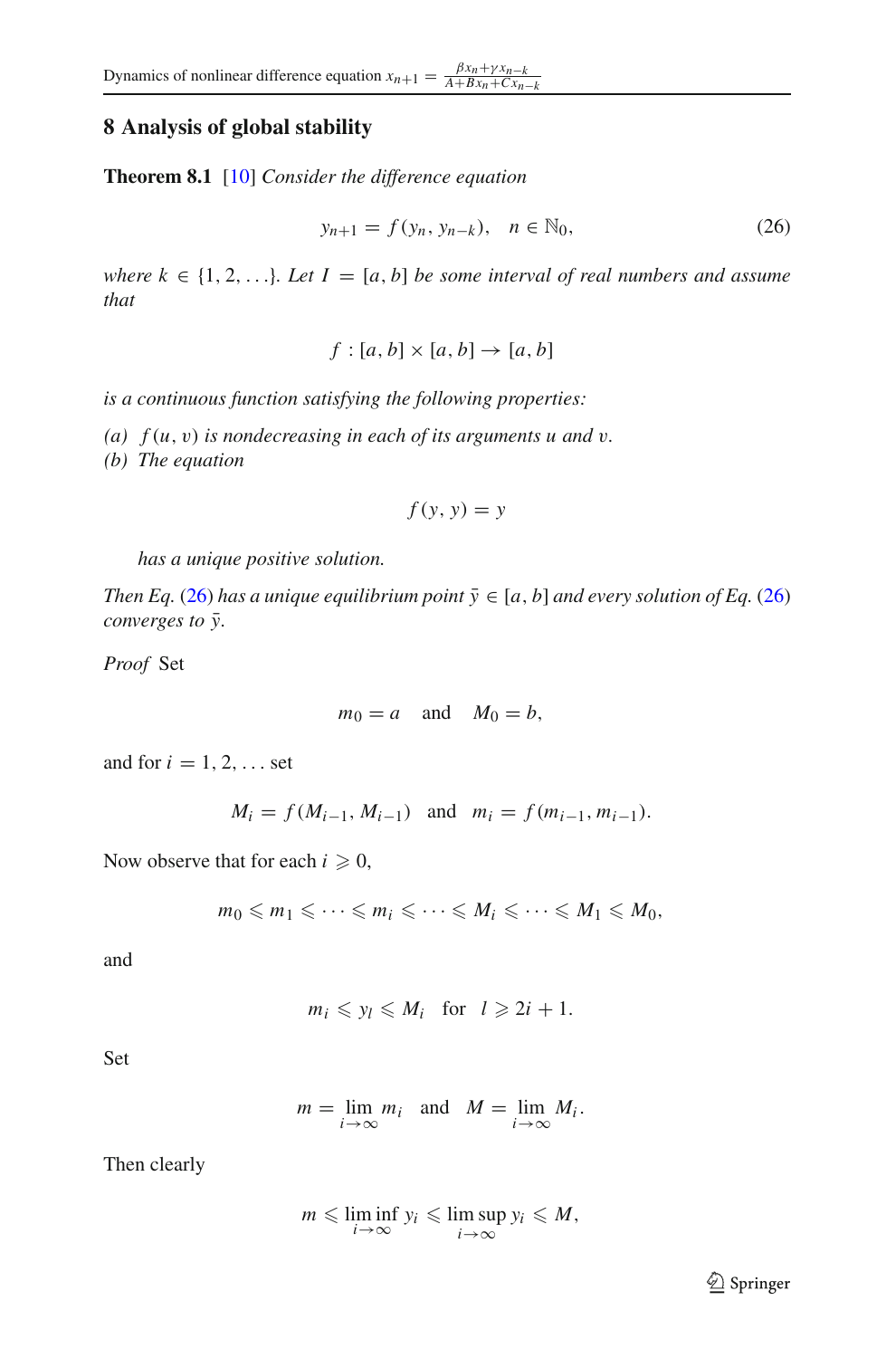# **8 Analysis of global stability**

<span id="page-18-1"></span>**Theorem 8.1** [\[10](#page-29-1)] *Consider the difference equation*

<span id="page-18-0"></span>
$$
y_{n+1} = f(y_n, y_{n-k}), \quad n \in \mathbb{N}_0,
$$
 (26)

*where*  $k \in \{1, 2, \ldots\}$ *. Let*  $I = [a, b]$  *be some interval of real numbers and assume that*

 $f : [a, b] \times [a, b] \rightarrow [a, b]$ 

*is a continuous function satisfying the following properties:*

*(a) f* (*u*, v) *is nondecreasing in each of its arguments u and* v*.*

*(b) The equation*

$$
f(y, y) = y
$$

*has a unique positive solution.*

*Then Eq.* [\(26\)](#page-18-0) *has a unique equilibrium point*  $\bar{y} \in [a, b]$  *and every solution of Eq.* (26) *converges to*  $\bar{y}$ *.* 

*Proof* Set

$$
m_0 = a \quad \text{and} \quad M_0 = b,
$$

and for  $i = 1, 2, \ldots$  set

$$
M_i = f(M_{i-1}, M_{i-1})
$$
 and  $m_i = f(m_{i-1}, m_{i-1}).$ 

Now observe that for each  $i \geqslant 0$ ,

$$
m_0 \leqslant m_1 \leqslant \cdots \leqslant m_i \leqslant \cdots \leqslant M_i \leqslant \cdots \leqslant M_1 \leqslant M_0,
$$

and

$$
m_i \leqslant y_l \leqslant M_i \quad \text{for} \quad l \geqslant 2i+1.
$$

Set

$$
m = \lim_{i \to \infty} m_i \text{ and } M = \lim_{i \to \infty} M_i.
$$

Then clearly

$$
m \leqslant \liminf_{i \to \infty} y_i \leqslant \limsup_{i \to \infty} y_i \leqslant M,
$$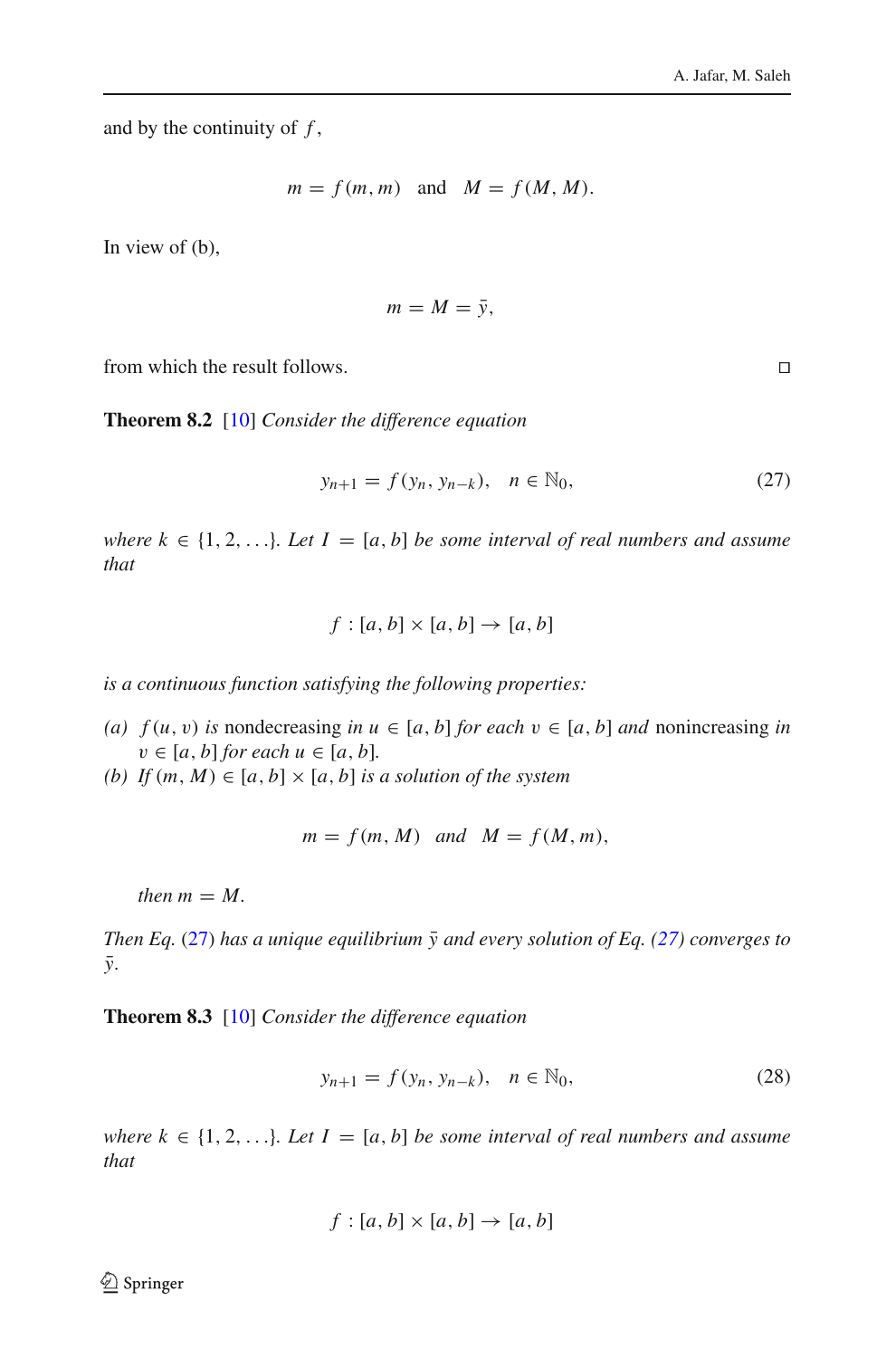and by the continuity of *f* ,

$$
m = f(m, m)
$$
 and  $M = f(M, M)$ .

In view of (b),

$$
m=M=\bar{y},
$$

<span id="page-19-2"></span>from which the result follows.

**Theorem 8.2** [\[10](#page-29-1)] *Consider the difference equation*

<span id="page-19-0"></span>
$$
y_{n+1} = f(y_n, y_{n-k}), \quad n \in \mathbb{N}_0,
$$
 (27)

*where*  $k \in \{1, 2, \ldots\}$ *. Let*  $I = [a, b]$  *be some interval of real numbers and assume that*

$$
f:[a,b]\times[a,b]\to[a,b]
$$

*is a continuous function satisfying the following properties:*

- (a)  $f(u, v)$  *is* nondecreasing *in*  $u \in [a, b]$  *for each*  $v \in [a, b]$  *and* nonincreasing *in*  $v \in [a, b]$  *for each*  $u \in [a, b]$ .
- *(b)* If  $(m, M) \in [a, b] \times [a, b]$  *is a solution of the system*

$$
m = f(m, M) \quad \text{and} \quad M = f(M, m),
$$

*then*  $m = M$ .

*Then Eq.* [\(27\)](#page-19-0) has a unique equilibrium  $\bar{y}$  and every solution of Eq. ([27\)](#page-19-0) converges to  $\bar{v}$ .

<span id="page-19-3"></span>**Theorem 8.3** [\[10](#page-29-1)] *Consider the difference equation*

<span id="page-19-1"></span>
$$
y_{n+1} = f(y_n, y_{n-k}), \quad n \in \mathbb{N}_0,
$$
 (28)

*where*  $k \in \{1, 2, \ldots\}$ *. Let*  $I = [a, b]$  *be some interval of real numbers and assume that*

$$
f : [a, b] \times [a, b] \rightarrow [a, b]
$$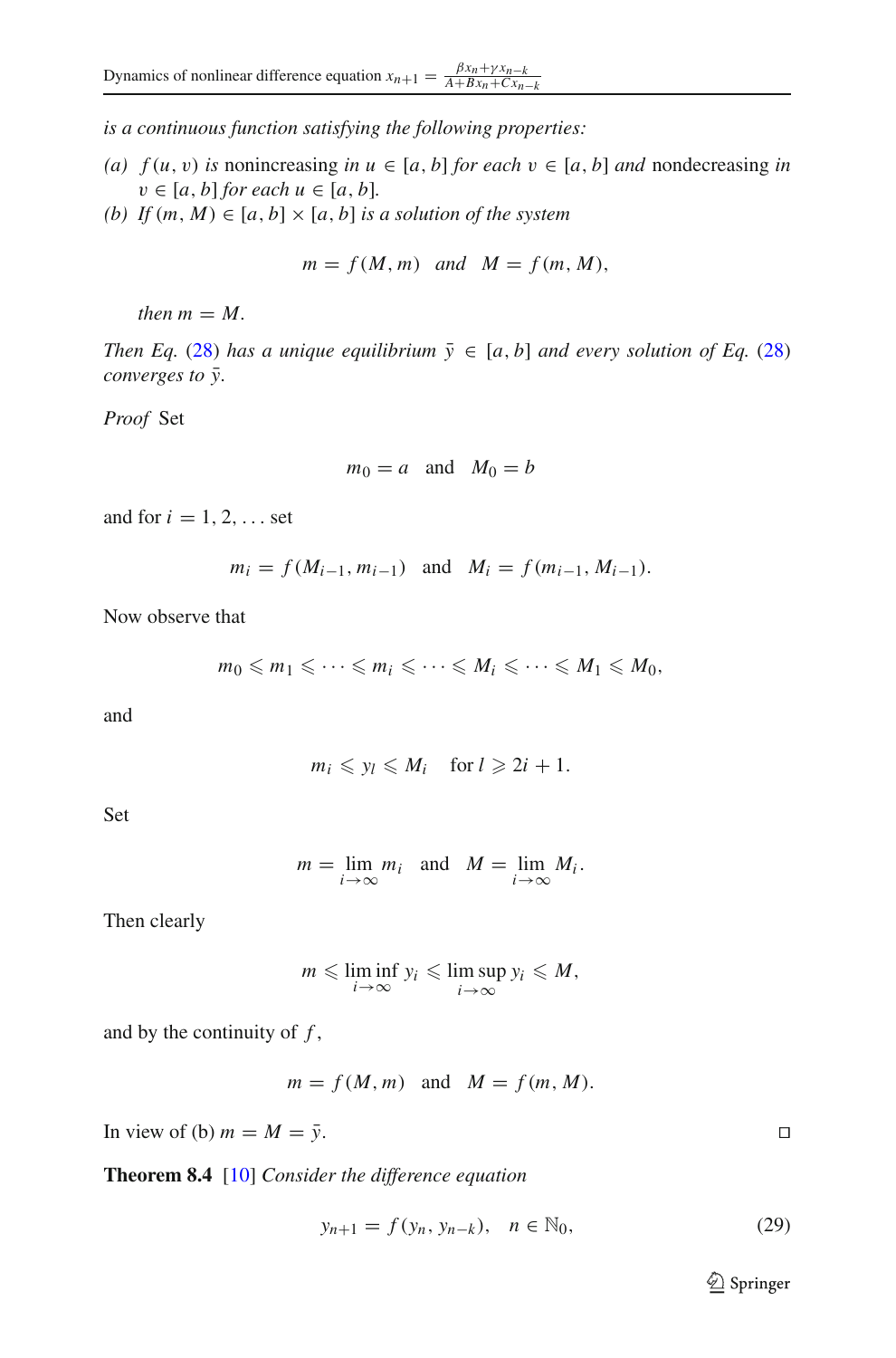*is a continuous function satisfying the following properties:*

- *(a)*  $f(u, v)$  *is* nonincreasing *in*  $u \in [a, b]$  *for each*  $v \in [a, b]$  *and* nondecreasing *in*  $v \in [a, b]$  *for each*  $u \in [a, b]$ *.*
- *(b)* If  $(m, M) \in [a, b] \times [a, b]$  *is a solution of the system*

$$
m = f(M, m) \quad and \quad M = f(m, M),
$$

*then*  $m = M$ .

*Then Eq.* [\(28\)](#page-19-1) *has a unique equilibrium*  $\bar{y} \in [a, b]$  *and every solution of Eq.* (28) *converges to*  $\bar{y}$ *.* 

*Proof* Set

$$
m_0 = a \quad \text{and} \quad M_0 = b
$$

and for  $i = 1, 2, \ldots$  set

$$
m_i = f(M_{i-1}, m_{i-1})
$$
 and  $M_i = f(m_{i-1}, M_{i-1}).$ 

Now observe that

$$
m_0 \leqslant m_1 \leqslant \cdots \leqslant m_i \leqslant \cdots \leqslant M_i \leqslant \cdots \leqslant M_1 \leqslant M_0,
$$

and

$$
m_i \leqslant y_l \leqslant M_i \quad \text{for } l \geqslant 2i+1.
$$

Set

$$
m = \lim_{i \to \infty} m_i \quad \text{and} \quad M = \lim_{i \to \infty} M_i.
$$

Then clearly

$$
m \leqslant \liminf_{i \to \infty} y_i \leqslant \limsup_{i \to \infty} y_i \leqslant M,
$$

and by the continuity of *f* ,

$$
m = f(M, m)
$$
 and  $M = f(m, M)$ .

In view of (b)  $m = M = \overline{y}$ .

<span id="page-20-1"></span>**Theorem 8.4** [\[10](#page-29-1)] *Consider the difference equation*

<span id="page-20-0"></span>
$$
y_{n+1} = f(y_n, y_{n-k}), \quad n \in \mathbb{N}_0,
$$
 (29)

<sup>2</sup> Springer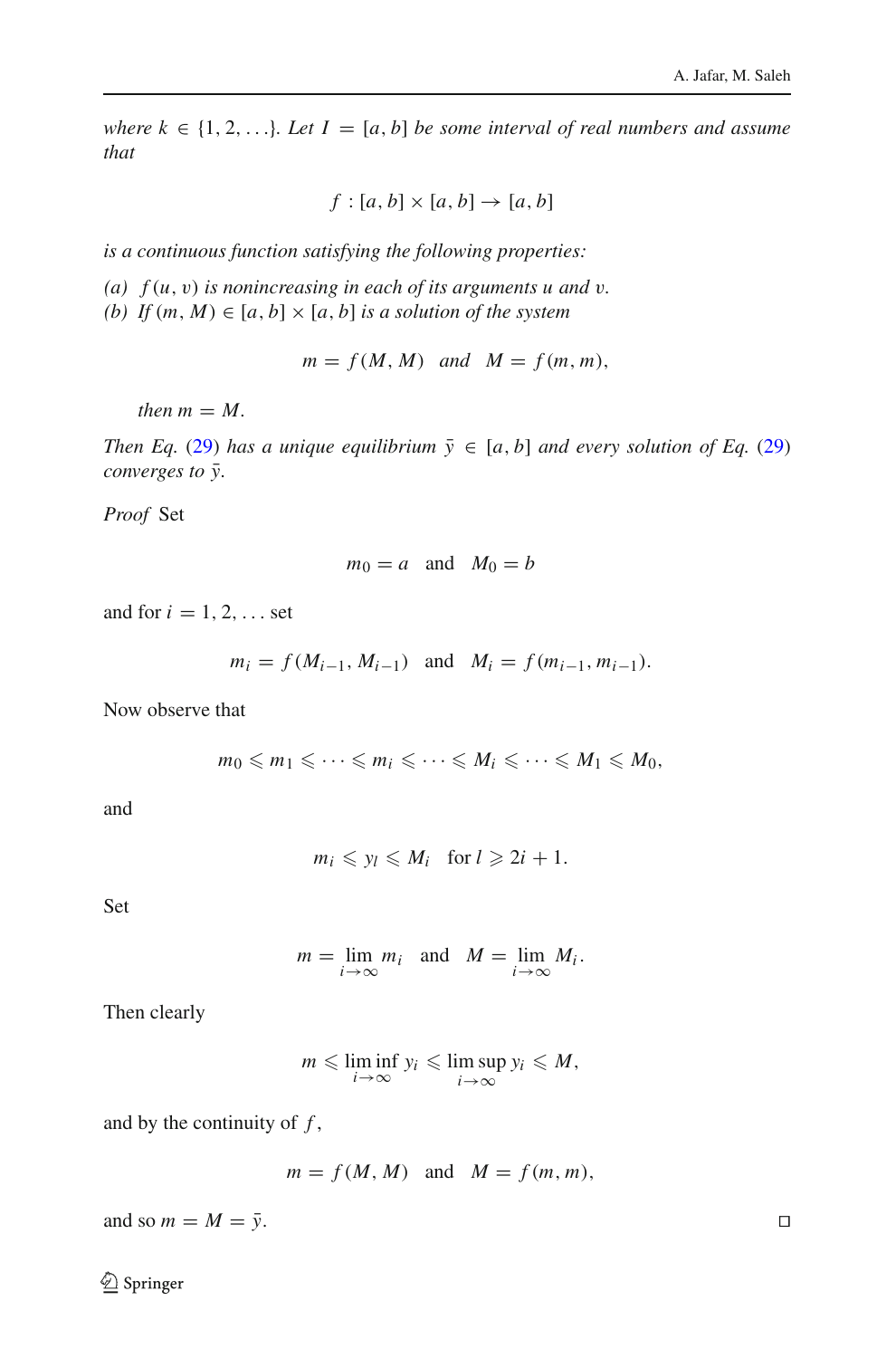*where*  $k \in \{1, 2, \ldots\}$ *. Let*  $I = [a, b]$  *be some interval of real numbers and assume that*

$$
f : [a, b] \times [a, b] \rightarrow [a, b]
$$

*is a continuous function satisfying the following properties:*

*(a) f* (*u*, v) *is nonincreasing in each of its arguments u and* v*.*

*(b)* If  $(m, M) \in [a, b] \times [a, b]$  *is a solution of the system* 

 $m = f(M, M)$  *and*  $M = f(m, m)$ ,

*then*  $m = M$ .

*Then Eq.* [\(29\)](#page-20-0) *has a unique equilibrium*  $\bar{y} \in [a, b]$  *and every solution of Eq.* (29) *converges to*  $\bar{y}$ *.* 

*Proof* Set

$$
m_0 = a \quad \text{and} \quad M_0 = b
$$

and for  $i = 1, 2, \ldots$  set

$$
m_i = f(M_{i-1}, M_{i-1})
$$
 and  $M_i = f(m_{i-1}, m_{i-1}).$ 

Now observe that

$$
m_0 \leqslant m_1 \leqslant \cdots \leqslant m_i \leqslant \cdots \leqslant M_i \leqslant \cdots \leqslant M_1 \leqslant M_0,
$$

and

$$
m_i \leqslant y_l \leqslant M_i \quad \text{for } l \geqslant 2i+1.
$$

Set

$$
m = \lim_{i \to \infty} m_i \quad \text{and} \quad M = \lim_{i \to \infty} M_i.
$$

Then clearly

$$
m \leqslant \liminf_{i \to \infty} y_i \leqslant \limsup_{i \to \infty} y_i \leqslant M,
$$

and by the continuity of *f* ,

$$
m = f(M, M)
$$
 and  $M = f(m, m)$ ,

and so  $m = M = \overline{y}$ .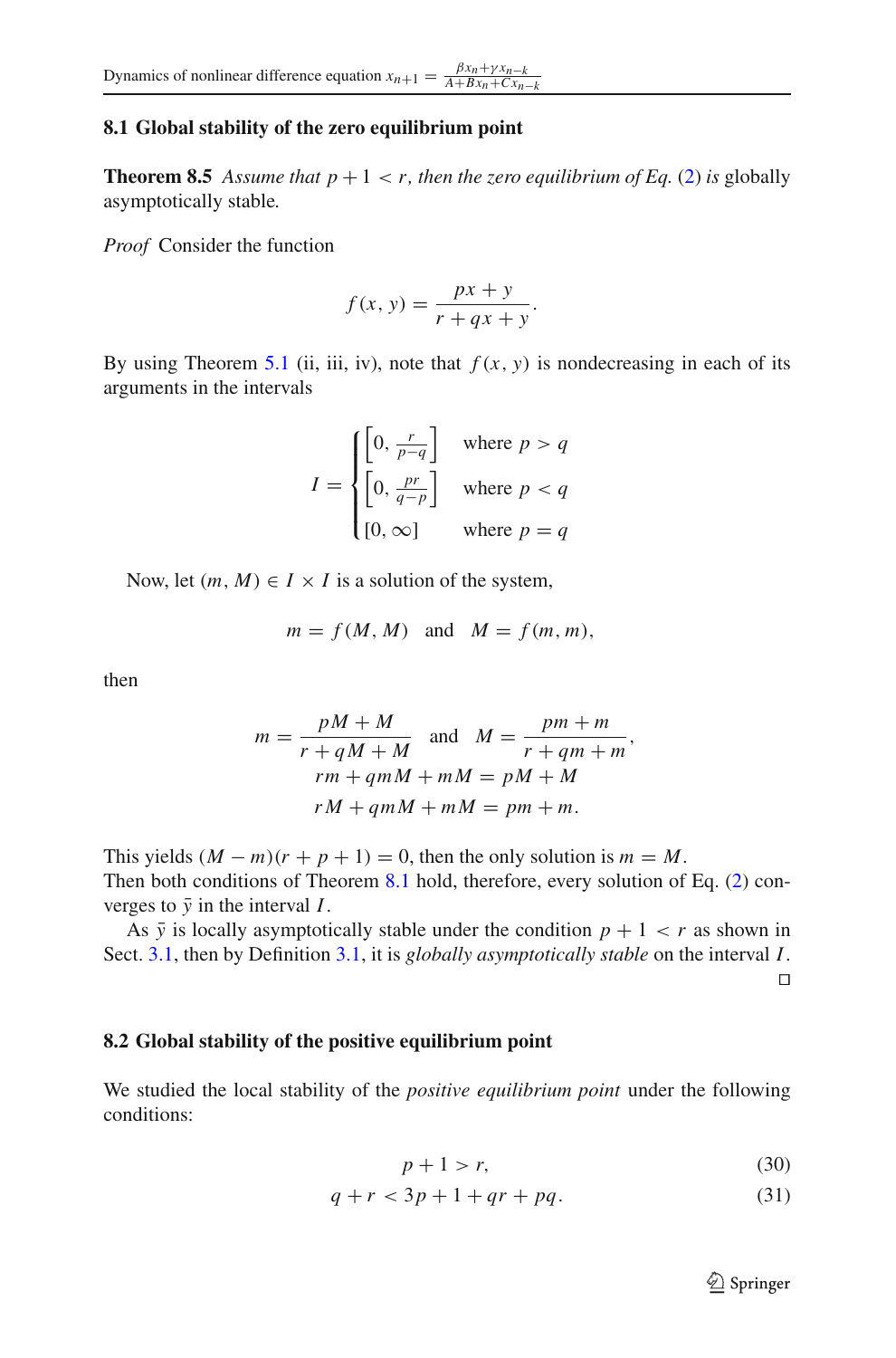## **8.1 Global stability of the zero equilibrium point**

**Theorem 8.5** Assume that  $p + 1 < r$ , then the zero equilibrium of Eq. [\(2\)](#page-1-0) is globally asymptotically stable*.*

*Proof* Consider the function

$$
f(x, y) = \frac{px + y}{r + qx + y}.
$$

By using Theorem [5.1](#page-8-2) (ii, iii, iv), note that  $f(x, y)$  is nondecreasing in each of its arguments in the intervals

$$
I = \begin{cases} \left[0, \frac{r}{p-q}\right] & \text{where } p > q\\ \left[0, \frac{pr}{q-p}\right] & \text{where } p < q\\ \left[0, \infty\right] & \text{where } p = q \end{cases}
$$

Now, let  $(m, M) \in I \times I$  is a solution of the system,

$$
m = f(M, M) \quad \text{and} \quad M = f(m, m),
$$

then

$$
m = \frac{pM + M}{r + qM + M}
$$
 and 
$$
M = \frac{pm + m}{r + qm + m},
$$
  

$$
rm + qmM + mM = pM + M
$$
  

$$
rM + qmM + mM = pm + m.
$$

This yields  $(M - m)(r + p + 1) = 0$ , then the only solution is  $m = M$ . Then both conditions of Theorem [8.1](#page-18-1) hold, therefore, every solution of Eq. [\(2\)](#page-1-0) converges to  $\bar{y}$  in the interval *I*.

As  $\bar{y}$  is locally asymptotically stable under the condition  $p + 1 < r$  as shown in Sect. [3.1,](#page-4-4) then by Definition [3.1,](#page-3-2) it is *globally asymptotically stable* on the interval *I*.  $\Box$ 

### **8.2 Global stability of the positive equilibrium point**

We studied the local stability of the *positive equilibrium point* under the following conditions:

$$
p + 1 > r,\tag{30}
$$

<span id="page-22-0"></span>
$$
q + r < 3p + 1 + qr + pq. \tag{31}
$$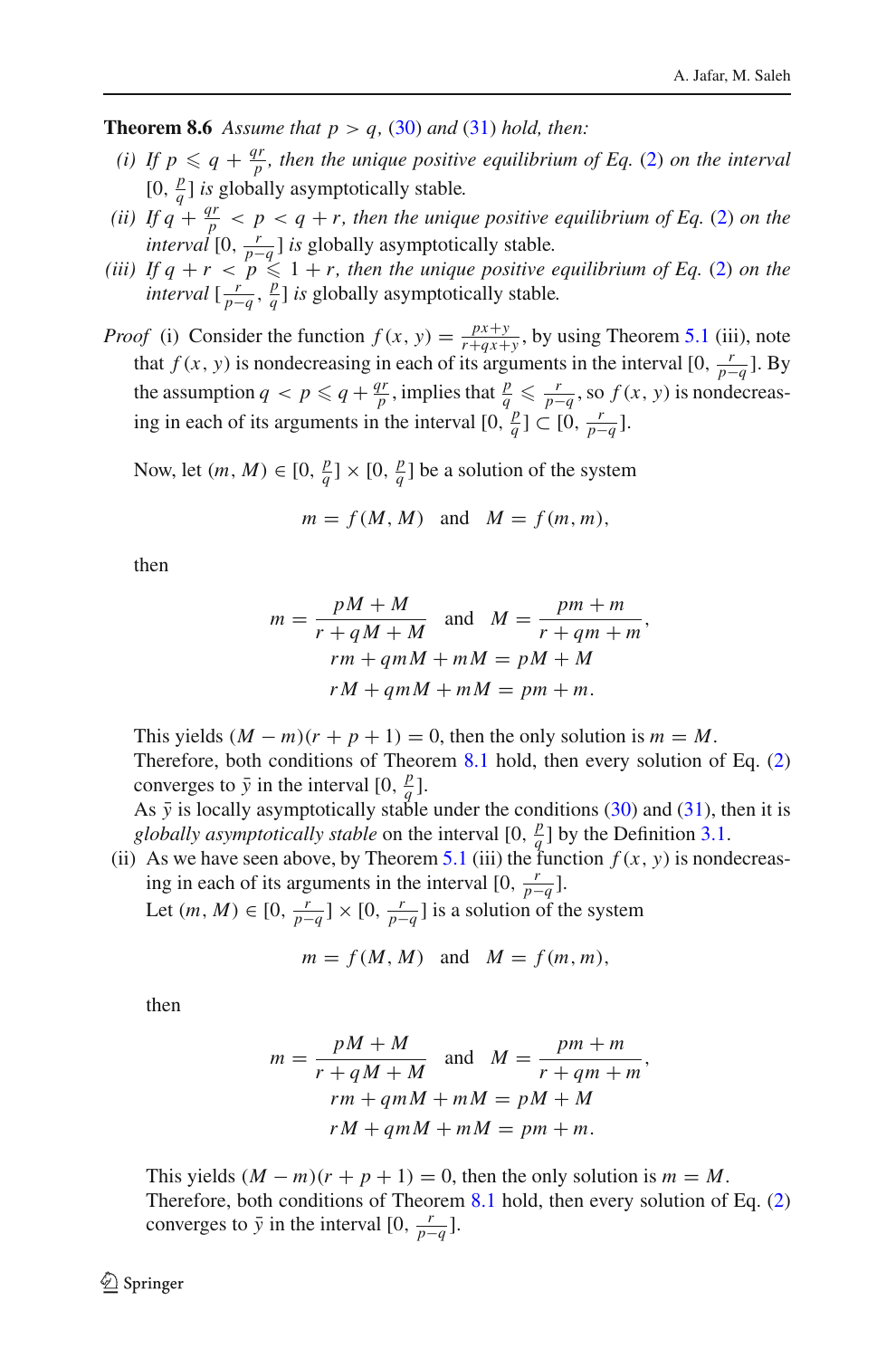**Theorem 8.6** Assume that  $p > q$ , [\(30\)](#page-22-0) and [\(31\)](#page-22-0) hold, then:

- *(i)* If  $p \leq q + \frac{qr}{p}$ , then the unique positive equilibrium of Eq. [\(2\)](#page-1-0) on the interval  $[0, \frac{p}{q}]$  *is* globally asymptotically stable.
- *(ii)* If  $q + \frac{qr}{p} < p < q + r$ , then the unique positive equilibrium of Eq. [\(2\)](#page-1-0) on the *interval*  $[0, \frac{r}{p-q}]$  *is* globally asymptotically stable.
- *(iii)* If  $q + r < p \leq 1 + r$ , then the unique positive equilibrium of Eq. [\(2\)](#page-1-0) on the *interval*  $\left[\frac{r}{p-q}, \frac{p}{q}\right]$  *is* globally asymptotically stable.
- *Proof* (i) Consider the function  $f(x, y) = \frac{px+y}{r+qx+y}$ , by using Theorem [5.1](#page-8-2) (iii), note that *f* (*x*, *y*) is nondecreasing in each of its arguments in the interval [0,  $\frac{r}{p-q}$ ]. By the assumption  $q < p \leq q + \frac{qr}{p}$ , implies that  $\frac{p}{q} \leq \frac{r}{p-q}$ , so  $f(x, y)$  is nondecreasing in each of its arguments in the interval  $[0, \frac{p}{q}] \subset [0, \frac{r}{p-q}]$ .

Now, let  $(m, M) \in [0, \frac{p}{q}] \times [0, \frac{p}{q}]$  be a solution of the system

$$
m = f(M, M) \quad \text{and} \quad M = f(m, m),
$$

then

$$
m = \frac{pM + M}{r + qM + M}
$$
 and 
$$
M = \frac{pm + m}{r + qm + m},
$$
  
\n
$$
rm + qmM + mM = pM + M
$$
  
\n
$$
rM + qmM + mM = pm + m.
$$

This yields  $(M - m)(r + p + 1) = 0$ , then the only solution is  $m = M$ . Therefore, both conditions of Theorem [8.1](#page-18-1) hold, then every solution of Eq. [\(2\)](#page-1-0) converges to  $\bar{y}$  in the interval [0,  $\frac{p}{q}$ ].

As  $\bar{y}$  is locally asymptotically stable under the conditions [\(30\)](#page-22-0) and [\(31\)](#page-22-0), then it is *globally asymptotically stable* on the interval  $[0, \frac{p}{q}]$  by the Definition [3.1.](#page-3-2)

(ii) As we have seen above, by Theorem [5.1](#page-8-2) (iii) the function  $f(x, y)$  is nondecreasing in each of its arguments in the interval  $[0, \frac{r}{p-q}]$ . Let  $(m, M) \in [0, \frac{r}{p-q}] \times [0, \frac{r}{p-q}]$  is a solution of the system

$$
m = f(M, M) \quad \text{and} \quad M = f(m, m),
$$

then

$$
m = \frac{pM + M}{r + qM + M}
$$
 and 
$$
M = \frac{pm + m}{r + qm + m},
$$
  
\n
$$
rm + qmM + mM = pM + M
$$
  
\n
$$
rM + qmM + mM = pm + m.
$$

This yields  $(M - m)(r + p + 1) = 0$ , then the only solution is  $m = M$ . Therefore, both conditions of Theorem [8.1](#page-18-1) hold, then every solution of Eq. [\(2\)](#page-1-0) converges to  $\bar{y}$  in the interval [0,  $\frac{r}{p-q}$ ].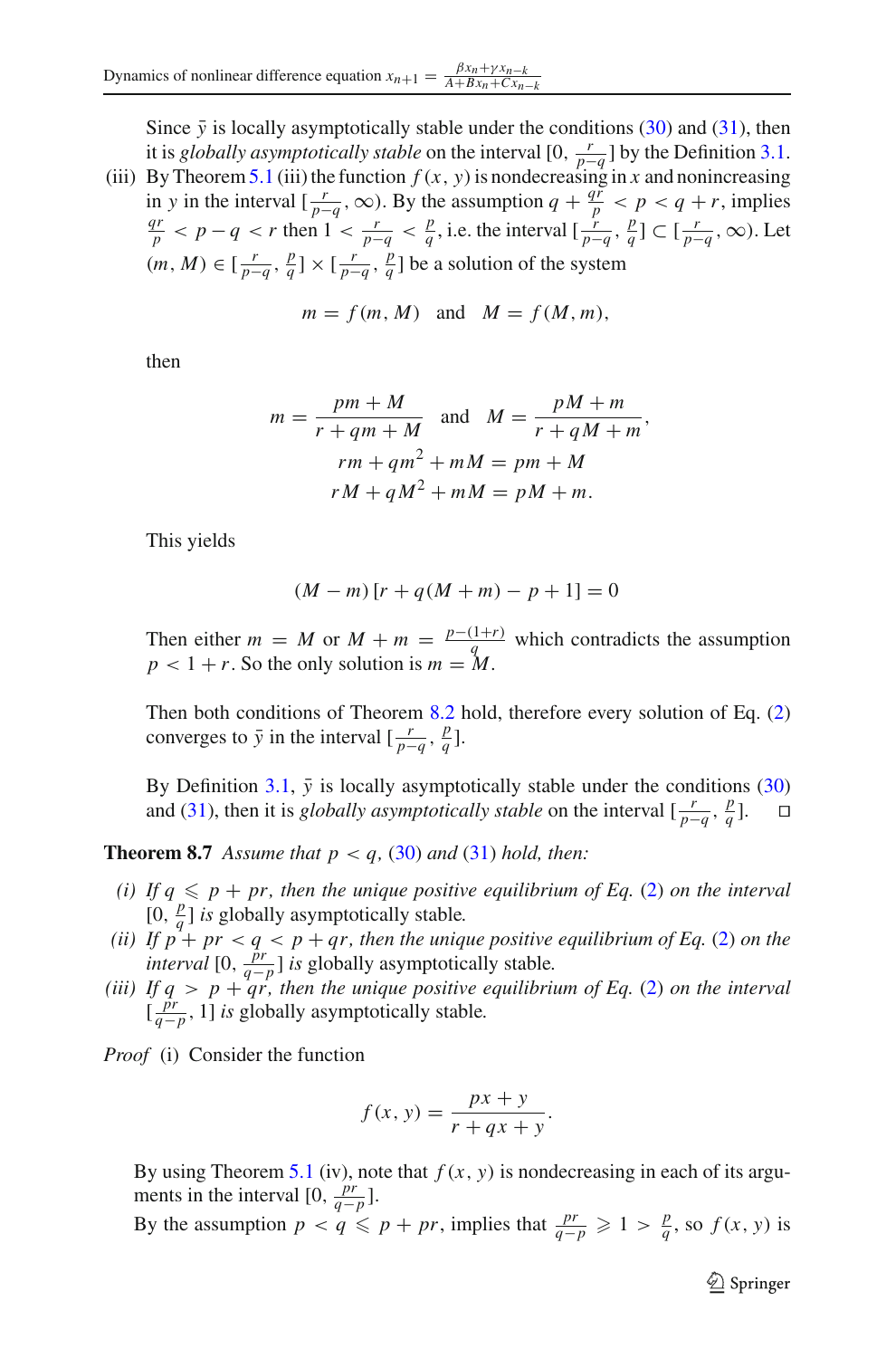Since  $\bar{y}$  is locally asymptotically stable under the conditions [\(30\)](#page-22-0) and [\(31\)](#page-22-0), then it is *globally asymptotically stable* on the interval  $[0, \frac{r}{p-q}]$  by the Definition [3.1.](#page-3-2)<br>Purthaseous 5.1.(iii) the function  $f(u, y)$  is negative and in a proposition and proposition (iii) By Theorem [5.1](#page-8-2) (iii) the function  $f(x, y)$  is nondecreasing in *x* and nonincreasing in *y* in the interval  $\left[\frac{r}{p-q}, \infty\right)$ . By the assumption  $q + \frac{qr}{p} < p < q + r$ , implies  $\frac{p}{p}$  < *p* − *q* < *r* then 1 <  $\frac{r}{p-q}$  <  $\frac{p}{q}$ , i.e. the interval  $\left[\frac{r}{p-q}, \frac{p}{q}\right] \subset \left[\frac{r}{p-q}, \infty\right)$ . Let  $(m, M) ∈ [\frac{r}{p-q}, \frac{p}{q}] × [\frac{r}{p-q}, \frac{p}{q}]$  be a solution of the system

$$
m = f(m, M)
$$
 and  $M = f(M, m)$ ,

then

$$
m = \frac{pm + M}{r + qm + M} \text{ and } M = \frac{pM + m}{r + qM + m},
$$
  

$$
rm + qm2 + mM = pm + M
$$
  

$$
rM + qM2 + mM = pM + m.
$$

This yields

$$
(M - m) [r + q(M + m) - p + 1] = 0
$$

Then either  $m = M$  or  $M + m = \frac{p-(1+r)}{q}$  which contradicts the assumption  $p < 1 + r$ . So the only solution is  $m = M$ .

Then both conditions of Theorem [8.2](#page-19-2) hold, therefore every solution of Eq. [\(2\)](#page-1-0) converges to  $\bar{y}$  in the interval  $\left[\frac{r}{p-q}, \frac{p}{q}\right]$ .

By Definition  $3.1$ ,  $\bar{y}$  is locally asymptotically stable under the conditions [\(30\)](#page-22-0) and [\(31\)](#page-22-0), then it is *globally asymptotically stable* on the interval  $\left[\frac{r}{p-q}, \frac{p}{q}\right]$ . □

**Theorem 8.7** Assume that  $p < q$ , [\(30\)](#page-22-0) and [\(31\)](#page-22-0) hold, then:

- *(i)* If  $q \leq p + pr$ , then the unique positive equilibrium of Eq. [\(2\)](#page-1-0) on the interval  $[0, \frac{p}{q}]$  *is* globally asymptotically stable.
- *(ii)* If  $p^4$  +  $pr$  <  $q$  <  $p$  +  $qr$ , then the unique positive equilibrium of Eq. [\(2\)](#page-1-0) on the *interval* [0,  $\frac{\hat{p}r}{q-p}$ ] *is* globally asymptotically stable.
- *(iii)* If  $q > p + qr$ , then the unique positive equilibrium of Eq. [\(2\)](#page-1-0) on the interval  $\left[\frac{\hat{pr}}{q-p}, 1\right]$  *is* globally asymptotically stable.

*Proof* (i) Consider the function

$$
f(x, y) = \frac{px + y}{r + qx + y}.
$$

By using Theorem [5.1](#page-8-2) (iv), note that  $f(x, y)$  is nondecreasing in each of its arguments in the interval [0,  $\frac{pr}{q-p}$ ].

By the assumption 
$$
p < q \leq p + pr
$$
, implies that  $\frac{pr}{q-p} \geq 1 > \frac{p}{q}$ , so  $f(x, y)$  is

 $\mathcal{L}$  Springer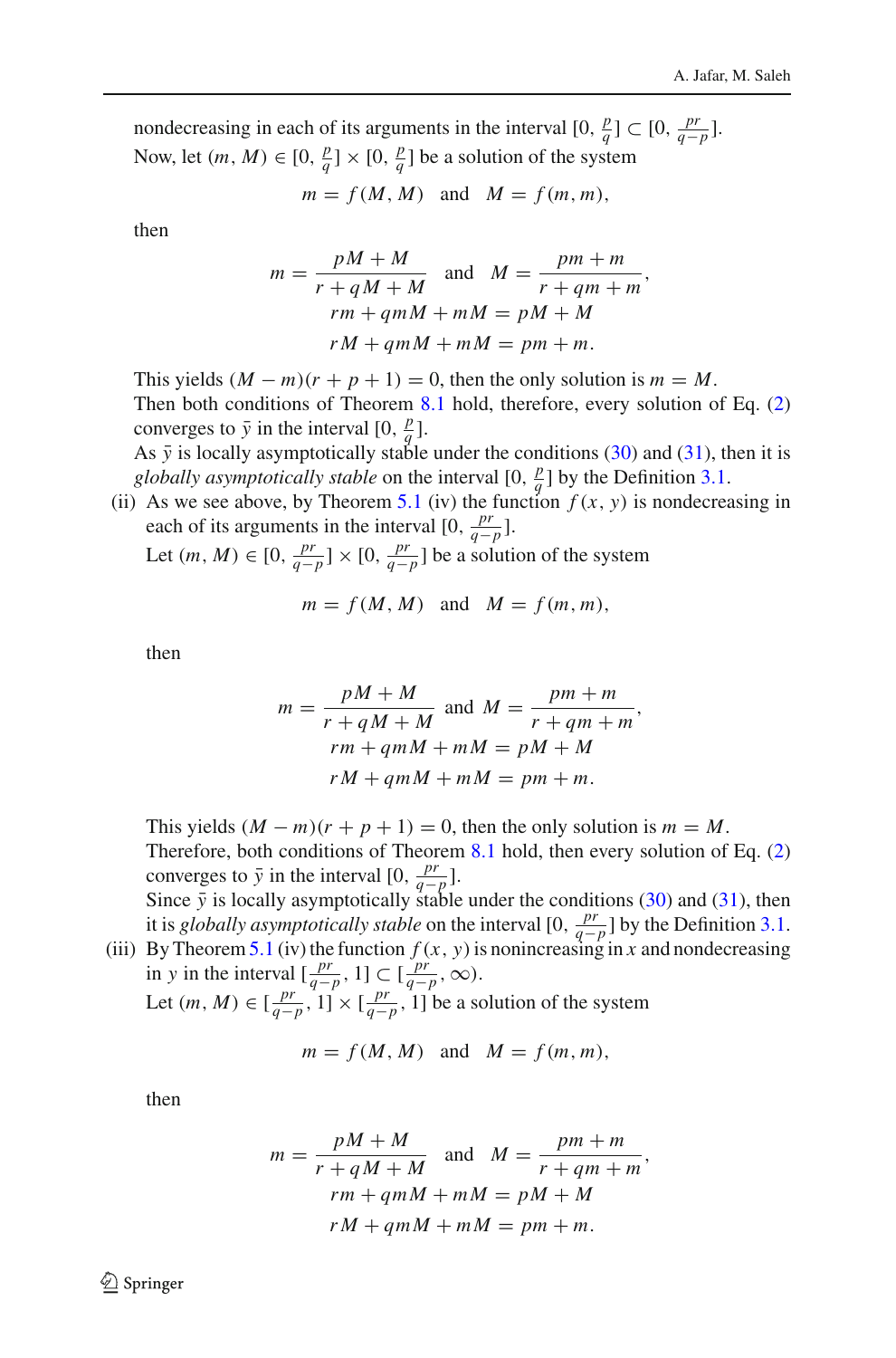nondecreasing in each of its arguments in the interval  $[0, \frac{p}{q}] \subset [0, \frac{pr}{q-p}]$ . Now, let  $(m, M) \in [0, \frac{p}{q}] \times [0, \frac{p}{q}]$  be a solution of the system

$$
m = f(M, M)
$$
 and  $M = f(m, m)$ ,

then

$$
m = \frac{pM + M}{r + qM + M}
$$
 and 
$$
M = \frac{pm + m}{r + qm + m},
$$
  

$$
rm + qmM + mM = pM + M
$$
  

$$
rM + qmM + mM = pm + m.
$$

This yields  $(M - m)(r + p + 1) = 0$ , then the only solution is  $m = M$ . Then both conditions of Theorem [8.1](#page-18-1) hold, therefore, every solution of Eq. [\(2\)](#page-1-0) converges to  $\bar{y}$  in the interval  $[0, \frac{p}{q}]$ .

As  $\bar{y}$  is locally asymptotically stable under the conditions [\(30\)](#page-22-0) and [\(31\)](#page-22-0), then it is *globally asymptotically stable* on the interval  $[0, \frac{p}{q}]$  by the Definition [3.1.](#page-3-2)

(ii) As we see above, by Theorem [5.1](#page-8-2) (iv) the function  $f(x, y)$  is nondecreasing in each of its arguments in the interval  $[0, \frac{pr}{q-p}]$ .

Let  $(m, M) \in [0, \frac{pr}{q-p}] \times [0, \frac{pr}{q-p}]$  be a solution of the system

$$
m = f(M, M) \quad \text{and} \quad M = f(m, m),
$$

then

$$
m = \frac{pM + M}{r + qM + M} \text{ and } M = \frac{pm + m}{r + qm + m},
$$
  
\n
$$
rm + qmM + mM = pM + M
$$
  
\n
$$
rM + qmM + mM = pm + m.
$$

This yields  $(M - m)(r + p + 1) = 0$ , then the only solution is  $m = M$ . Therefore, both conditions of Theorem [8.1](#page-18-1) hold, then every solution of Eq. [\(2\)](#page-1-0) converges to  $\bar{y}$  in the interval  $[0, \frac{pr}{q-p}]$ .

Since  $\bar{y}$  is locally asymptotically stable under the conditions [\(30\)](#page-22-0) and [\(31\)](#page-22-0), then it is *globally asymptotically stable* on the interval  $[0, \frac{pr}{q-p}]$  by the Definition [3.1.](#page-3-2) (iii) By Theorem [5.1](#page-8-2) (iv) the function  $f(x, y)$  is nonincreasing in *x* and nondecreasing

in *y* in the interval  $\left[\frac{pr}{q-p}, 1\right] \subset \left[\frac{pr}{q-p}, \infty\right)$ . Let  $(m, M) \in [\frac{pr}{q-p}, 1] \times [\frac{pr}{q-p}, 1]$  be a solution of the system

$$
m = f(M, M) \quad \text{and} \quad M = f(m, m),
$$

then

$$
m = \frac{pM + M}{r + qM + M}
$$
 and 
$$
M = \frac{pm + m}{r + qm + m},
$$
  

$$
rm + qmM + mM = pM + M
$$
  

$$
rM + qmM + mM = pm + m.
$$

 $\mathcal{L}$  Springer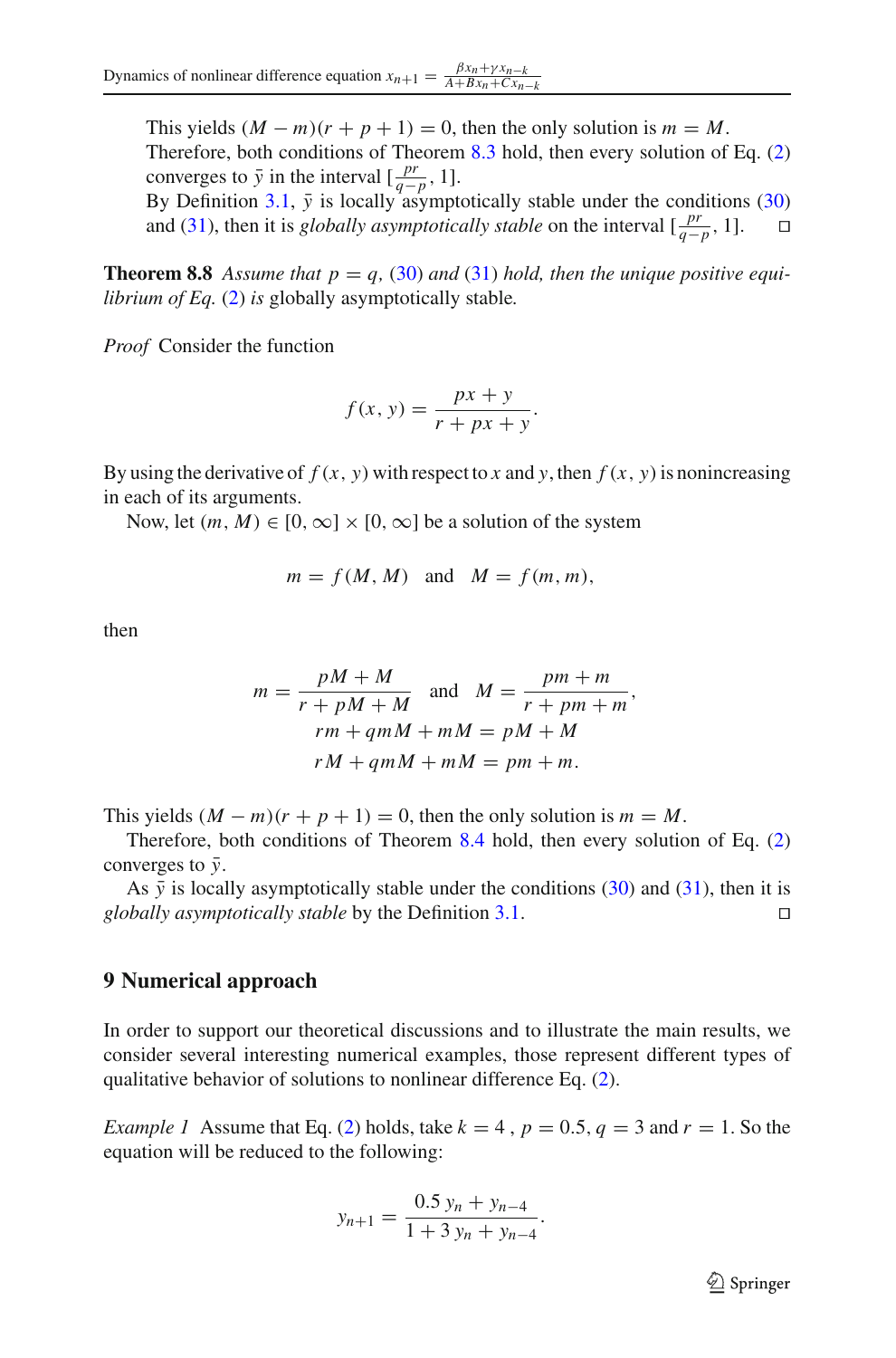This yields  $(M - m)(r + p + 1) = 0$ , then the only solution is  $m = M$ . Therefore, both conditions of Theorem [8.3](#page-19-3) hold, then every solution of Eq. [\(2\)](#page-1-0) converges to  $\bar{y}$  in the interval  $\left[\frac{pr}{q-p}, 1\right]$ .

By Definition [3.1,](#page-3-2)  $\bar{y}$  is locally asymptotically stable under the conditions [\(30\)](#page-22-0) and (31), then it is *globally asymptotically stable* on the interval  $\left[\frac{pr}{m}, 1\right]$ . and [\(31\)](#page-22-0), then it is *globally asymptotically stable* on the interval  $\left[\frac{pr}{q-p}, 1\right]$ . □

**Theorem 8.8** Assume that  $p = q$ , [\(30\)](#page-22-0) and [\(31\)](#page-22-0) hold, then the unique positive equi*librium of Eq.* [\(2\)](#page-1-0) *is* globally asymptotically stable*.*

*Proof* Consider the function

$$
f(x, y) = \frac{px + y}{r + px + y}.
$$

By using the derivative of  $f(x, y)$  with respect to *x* and *y*, then  $f(x, y)$  is nonincreasing in each of its arguments.

Now, let  $(m, M) \in [0, \infty] \times [0, \infty]$  be a solution of the system

$$
m = f(M, M) \quad \text{and} \quad M = f(m, m),
$$

then

$$
m = \frac{pM + M}{r + pM + M}
$$
 and 
$$
M = \frac{pm + m}{r + pm + m},
$$
  

$$
rm + qmM + mM = pM + M
$$
  

$$
rM + qmM + mM = pm + m.
$$

This yields  $(M - m)(r + p + 1) = 0$ , then the only solution is  $m = M$ .

Therefore, both conditions of Theorem [8.4](#page-20-1) hold, then every solution of Eq. [\(2\)](#page-1-0) converges to  $\bar{y}$ .

As  $\bar{y}$  is locally asymptotically stable under the conditions [\(30\)](#page-22-0) and [\(31\)](#page-22-0), then it is *obally asymptotically stable* by the Definition 3.1. *globally asymptotically stable* by the Definition [3.1.](#page-3-2)

# **9 Numerical approach**

In order to support our theoretical discussions and to illustrate the main results, we consider several interesting numerical examples, those represent different types of qualitative behavior of solutions to nonlinear difference Eq. [\(2\)](#page-1-0).

*Example 1* Assume that Eq. [\(2\)](#page-1-0) holds, take  $k = 4$ ,  $p = 0.5$ ,  $q = 3$  and  $r = 1$ . So the equation will be reduced to the following:

$$
y_{n+1} = \frac{0.5 y_n + y_{n-4}}{1 + 3 y_n + y_{n-4}}.
$$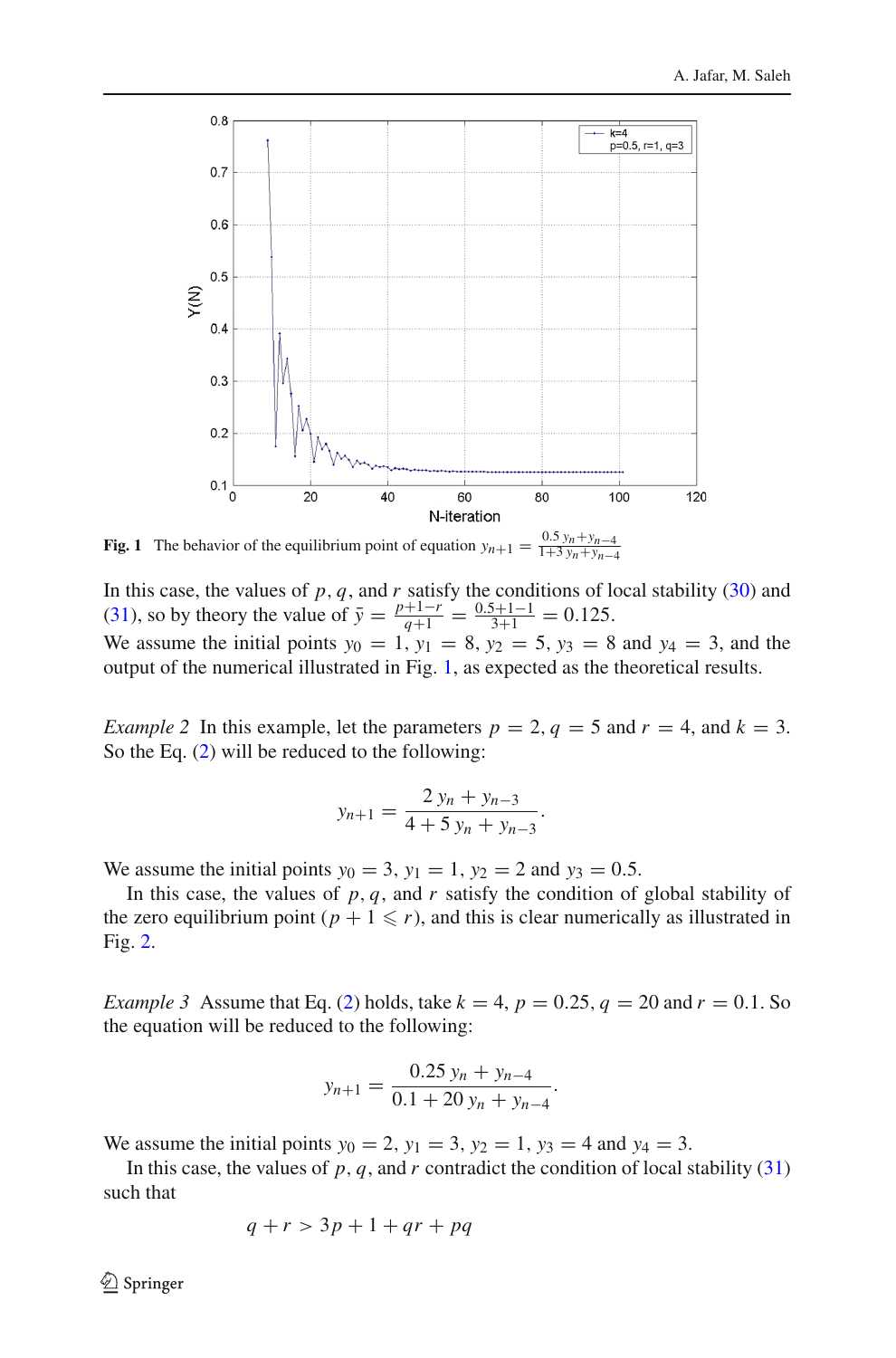

<span id="page-27-0"></span>**Fig. 1** The behavior of the equilibrium point of equation  $y_{n+1} = \frac{0.5 y_n + y_{n-4}}{1+3 y_n + y_{n-4}}$ 

In this case, the values of *p*, *q*, and *r* satisfy the conditions of local stability [\(30\)](#page-22-0) and [\(31\)](#page-22-0), so by theory the value of  $\bar{y} = \frac{p+1-r}{q+1} = \frac{0.5+1-1}{3+1} = 0.125$ . We assume the initial points  $y_0 = 1$ ,  $y_1 = 8$ ,  $y_2 = 5$ ,  $y_3 = 8$  and  $y_4 = 3$ , and the output of the numerical illustrated in Fig. [1,](#page-27-0) as expected as the theoretical results.

*Example 2* In this example, let the parameters  $p = 2$ ,  $q = 5$  and  $r = 4$ , and  $k = 3$ . So the Eq. [\(2\)](#page-1-0) will be reduced to the following:

$$
y_{n+1} = \frac{2y_n + y_{n-3}}{4 + 5y_n + y_{n-3}}.
$$

We assume the initial points  $y_0 = 3$ ,  $y_1 = 1$ ,  $y_2 = 2$  and  $y_3 = 0.5$ .

In this case, the values of  $p, q$ , and  $r$  satisfy the condition of global stability of the zero equilibrium point ( $p + 1 \leq r$ ), and this is clear numerically as illustrated in Fig. [2.](#page-28-0)

*Example 3* Assume that Eq. [\(2\)](#page-1-0) holds, take  $k = 4$ ,  $p = 0.25$ ,  $q = 20$  and  $r = 0.1$ . So the equation will be reduced to the following:

$$
y_{n+1} = \frac{0.25 y_n + y_{n-4}}{0.1 + 20 y_n + y_{n-4}}.
$$

We assume the initial points  $y_0 = 2$ ,  $y_1 = 3$ ,  $y_2 = 1$ ,  $y_3 = 4$  and  $y_4 = 3$ .

In this case, the values of  $p, q$ , and  $r$  contradict the condition of local stability [\(31\)](#page-22-0) such that

$$
q + r > 3p + 1 + qr + pq
$$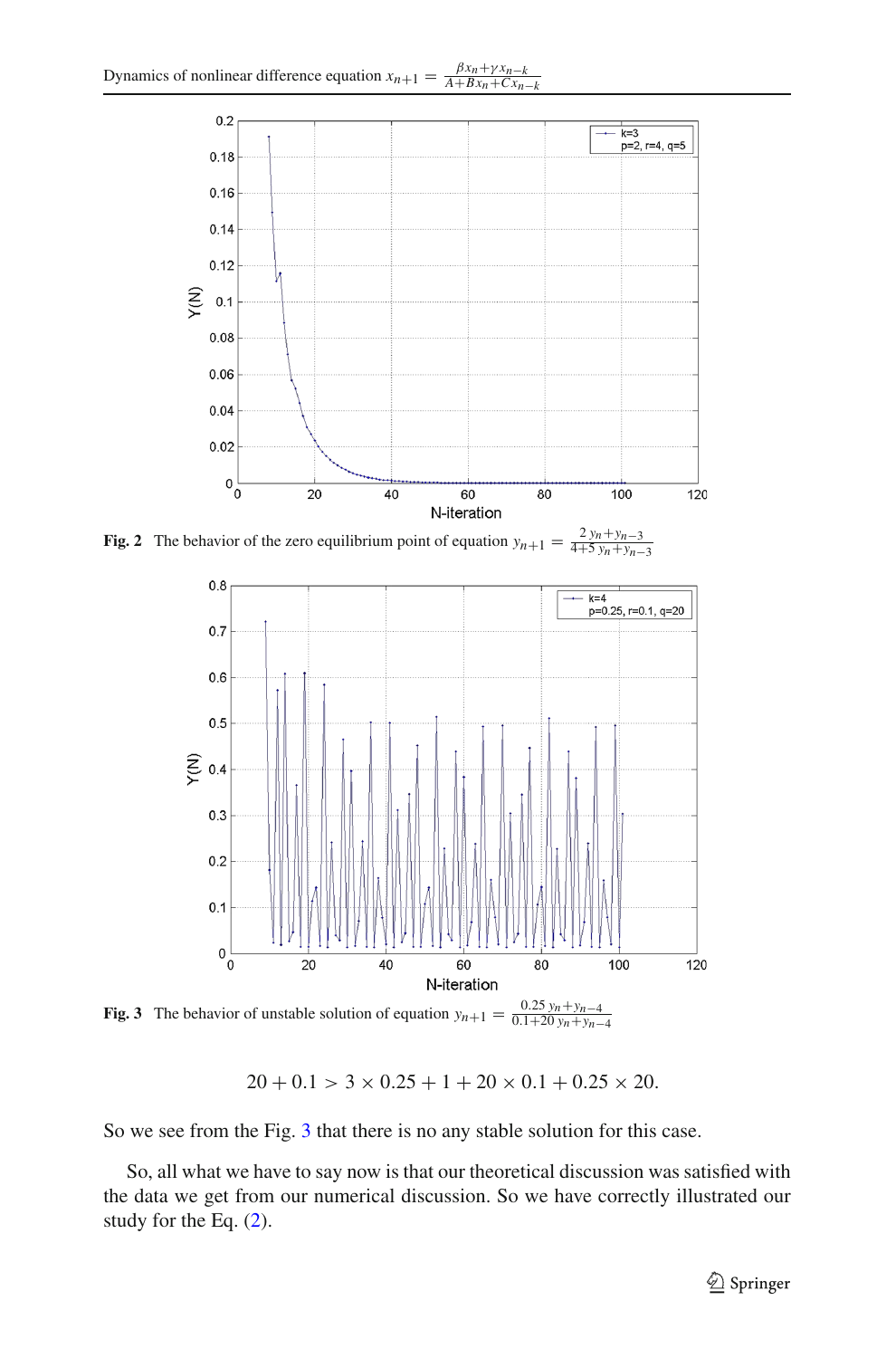

**Fig. 2** The behavior of the zero equilibrium point of equation  $y_{n+1} = \frac{2y_n + y_{n-3}}{4+5y_n + y_{n-3}}$ 

<span id="page-28-0"></span>

<span id="page-28-1"></span>**Fig. 3** The behavior of unstable solution of equation  $y_{n+1} = \frac{0.25 y_n + y_{n-4}}{0.1 + 20 y_n + y_{n-4}}$ 

 $20 + 0.1 > 3 \times 0.25 + 1 + 20 \times 0.1 + 0.25 \times 20.$ 

So we see from the Fig. [3](#page-28-1) that there is no any stable solution for this case.

So, all what we have to say now is that our theoretical discussion was satisfied with the data we get from our numerical discussion. So we have correctly illustrated our study for the Eq. [\(2\)](#page-1-0).